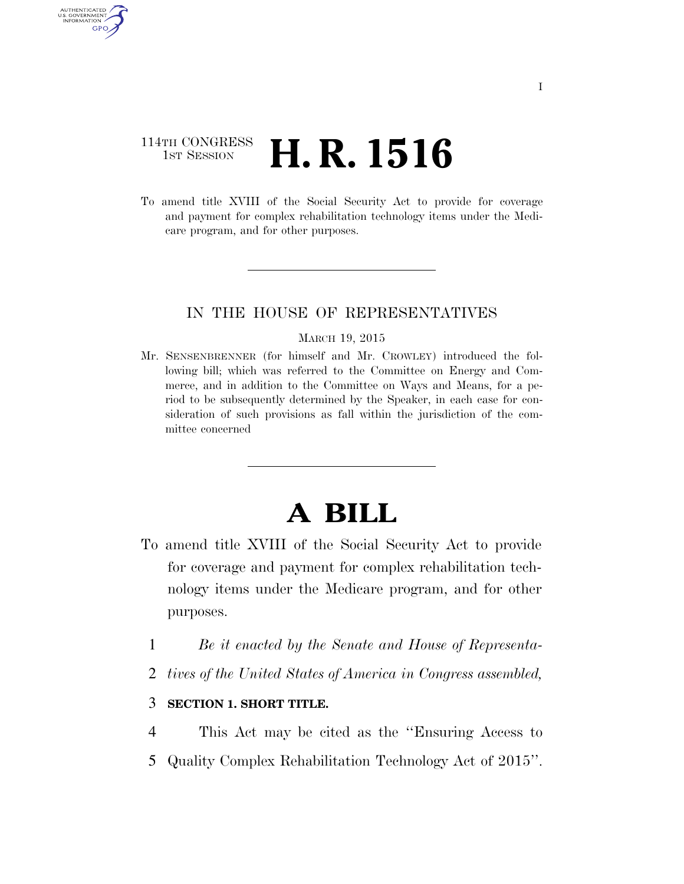## 114TH CONGRESS <sup>TH CONGRESS</sup> **H. R. 1516**

AUTHENTICATED U.S. GOVERNMENT GPO

> To amend title XVIII of the Social Security Act to provide for coverage and payment for complex rehabilitation technology items under the Medicare program, and for other purposes.

### IN THE HOUSE OF REPRESENTATIVES

#### MARCH 19, 2015

Mr. SENSENBRENNER (for himself and Mr. CROWLEY) introduced the following bill; which was referred to the Committee on Energy and Commerce, and in addition to the Committee on Ways and Means, for a period to be subsequently determined by the Speaker, in each case for consideration of such provisions as fall within the jurisdiction of the committee concerned

# **A BILL**

- To amend title XVIII of the Social Security Act to provide for coverage and payment for complex rehabilitation technology items under the Medicare program, and for other purposes.
	- 1 *Be it enacted by the Senate and House of Representa-*
	- 2 *tives of the United States of America in Congress assembled,*

### 3 **SECTION 1. SHORT TITLE.**

- 4 This Act may be cited as the ''Ensuring Access to
- 5 Quality Complex Rehabilitation Technology Act of 2015''.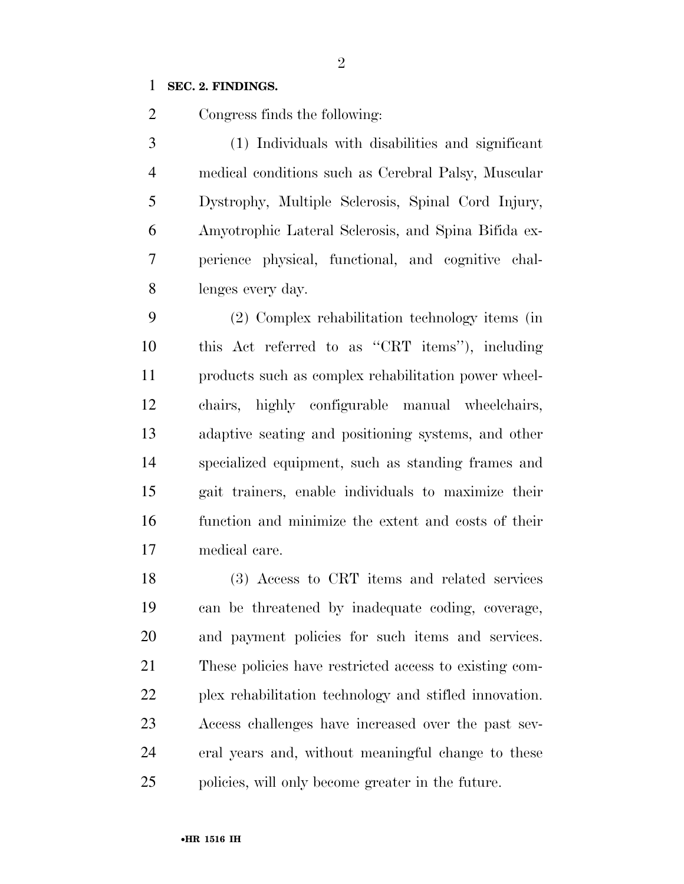### **SEC. 2. FINDINGS.**

Congress finds the following:

 (1) Individuals with disabilities and significant medical conditions such as Cerebral Palsy, Muscular Dystrophy, Multiple Sclerosis, Spinal Cord Injury, Amyotrophic Lateral Sclerosis, and Spina Bifida ex- perience physical, functional, and cognitive chal-lenges every day.

 (2) Complex rehabilitation technology items (in this Act referred to as ''CRT items''), including products such as complex rehabilitation power wheel- chairs, highly configurable manual wheelchairs, adaptive seating and positioning systems, and other specialized equipment, such as standing frames and gait trainers, enable individuals to maximize their function and minimize the extent and costs of their medical care.

 (3) Access to CRT items and related services can be threatened by inadequate coding, coverage, and payment policies for such items and services. These policies have restricted access to existing com- plex rehabilitation technology and stifled innovation. Access challenges have increased over the past sev- eral years and, without meaningful change to these policies, will only become greater in the future.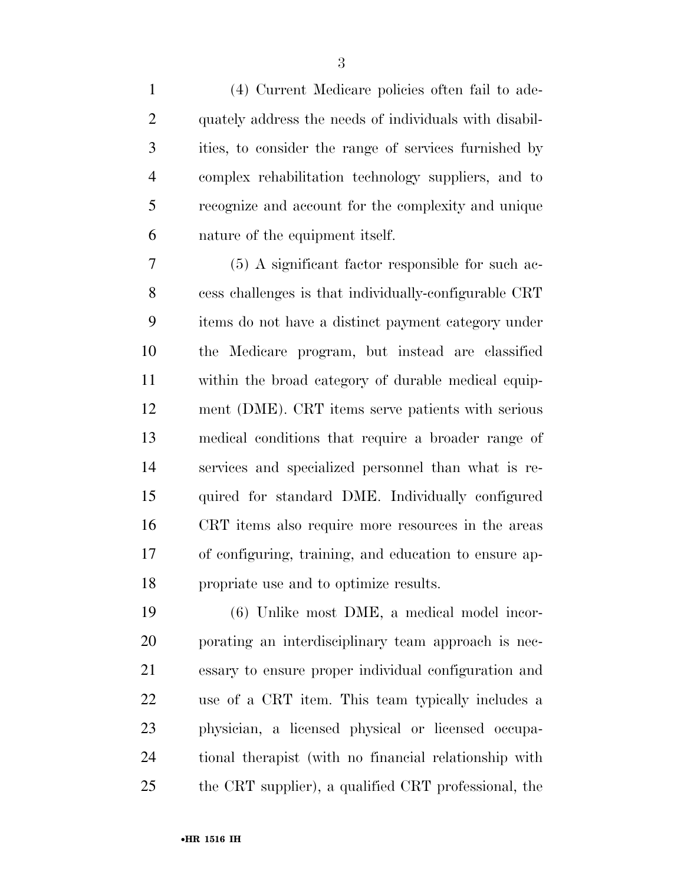(4) Current Medicare policies often fail to ade- quately address the needs of individuals with disabil- ities, to consider the range of services furnished by complex rehabilitation technology suppliers, and to recognize and account for the complexity and unique nature of the equipment itself.

 (5) A significant factor responsible for such ac- cess challenges is that individually-configurable CRT items do not have a distinct payment category under the Medicare program, but instead are classified within the broad category of durable medical equip- ment (DME). CRT items serve patients with serious medical conditions that require a broader range of services and specialized personnel than what is re- quired for standard DME. Individually configured CRT items also require more resources in the areas of configuring, training, and education to ensure ap-propriate use and to optimize results.

 (6) Unlike most DME, a medical model incor- porating an interdisciplinary team approach is nec- essary to ensure proper individual configuration and use of a CRT item. This team typically includes a physician, a licensed physical or licensed occupa- tional therapist (with no financial relationship with the CRT supplier), a qualified CRT professional, the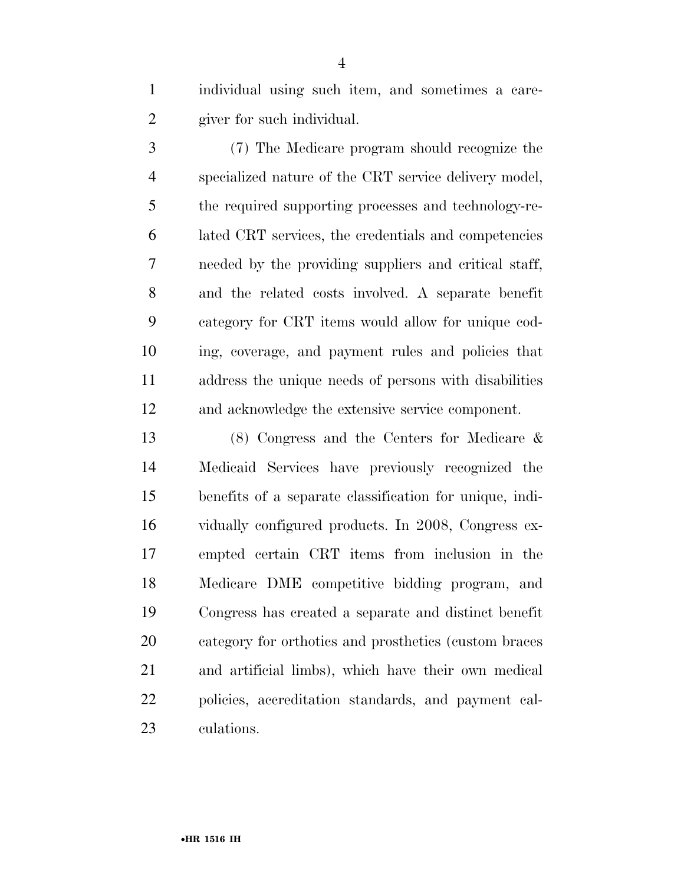individual using such item, and sometimes a care-giver for such individual.

 (7) The Medicare program should recognize the specialized nature of the CRT service delivery model, the required supporting processes and technology-re- lated CRT services, the credentials and competencies needed by the providing suppliers and critical staff, and the related costs involved. A separate benefit category for CRT items would allow for unique cod- ing, coverage, and payment rules and policies that address the unique needs of persons with disabilities and acknowledge the extensive service component.

 (8) Congress and the Centers for Medicare & Medicaid Services have previously recognized the benefits of a separate classification for unique, indi- vidually configured products. In 2008, Congress ex- empted certain CRT items from inclusion in the Medicare DME competitive bidding program, and Congress has created a separate and distinct benefit category for orthotics and prosthetics (custom braces and artificial limbs), which have their own medical policies, accreditation standards, and payment cal-culations.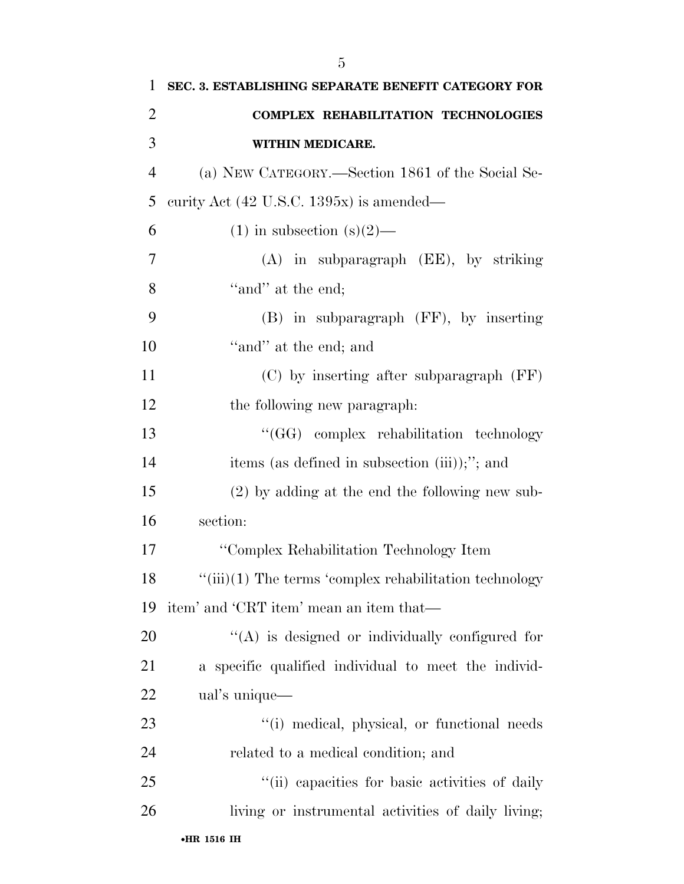| 1              | SEC. 3. ESTABLISHING SEPARATE BENEFIT CATEGORY FOR             |
|----------------|----------------------------------------------------------------|
| $\overline{2}$ | <b>COMPLEX REHABILITATION TECHNOLOGIES</b>                     |
| 3              | WITHIN MEDICARE.                                               |
| $\overline{4}$ | (a) NEW CATEGORY.—Section 1861 of the Social Se-               |
| 5              | curity Act $(42 \text{ U.S.C. } 1395x)$ is amended—            |
| 6              | $(1)$ in subsection $(s)(2)$ —                                 |
| 7              | $(A)$ in subparagraph $(EE)$ , by striking                     |
| 8              | "and" at the end;                                              |
| 9              | $(B)$ in subparagraph $(FF)$ , by inserting                    |
| 10             | "and" at the end; and                                          |
| 11             | (C) by inserting after subparagraph (FF)                       |
| 12             | the following new paragraph.                                   |
| 13             | "(GG) complex rehabilitation technology                        |
| 14             | items (as defined in subsection (iii));"; and                  |
| 15             | $(2)$ by adding at the end the following new sub-              |
| 16             | section:                                                       |
| 17             | "Complex Rehabilitation Technology Item                        |
| 18             | $\lq\lq$ (iii)(1) The terms 'complex rehabilitation technology |
| 19             | item' and 'CRT item' mean an item that—                        |
| 20             | $\lq\lq$ is designed or individually configured for            |
| 21             | a specific qualified individual to meet the individ-           |
| 22             | ual's unique—                                                  |
| 23             | "(i) medical, physical, or functional needs                    |
| 24             | related to a medical condition; and                            |
| 25             | "(ii) capacities for basic activities of daily                 |
| 26             | living or instrumental activities of daily living;             |
|                | •HR 1516 IH                                                    |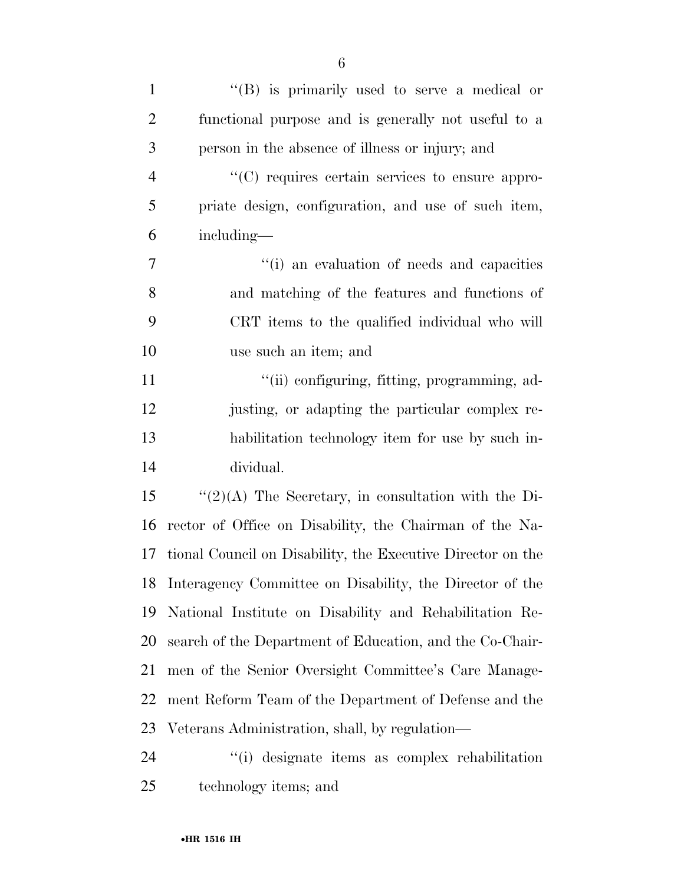| $\mathbf{1}$   | "(B) is primarily used to serve a medical or                |
|----------------|-------------------------------------------------------------|
| $\overline{2}$ | functional purpose and is generally not useful to a         |
| 3              | person in the absence of illness or injury; and             |
| $\overline{4}$ | "(C) requires certain services to ensure appro-             |
| 5              | priate design, configuration, and use of such item,         |
| 6              | including—                                                  |
| 7              | "(i) an evaluation of needs and capacities                  |
| 8              | and matching of the features and functions of               |
| 9              | CRT items to the qualified individual who will              |
| 10             | use such an item; and                                       |
| 11             | "(ii) configuring, fitting, programming, ad-                |
| 12             | justing, or adapting the particular complex re-             |
| 13             | habilitation technology item for use by such in-            |
| 14             | dividual.                                                   |
| 15             | $\lq(2)(A)$ The Secretary, in consultation with the Di-     |
| 16             | rector of Office on Disability, the Chairman of the Na-     |
| 17             | tional Council on Disability, the Executive Director on the |
|                | 18 Interagency Committee on Disability, the Director of the |
| 19             | National Institute on Disability and Rehabilitation Re-     |
| 20             | search of the Department of Education, and the Co-Chair-    |
| 21             | men of the Senior Oversight Committee's Care Manage-        |
| 22             | ment Reform Team of the Department of Defense and the       |
| 23             | Veterans Administration, shall, by regulation—              |
| 24             | "(i) designate items as complex rehabilitation              |
| 25             | technology items; and                                       |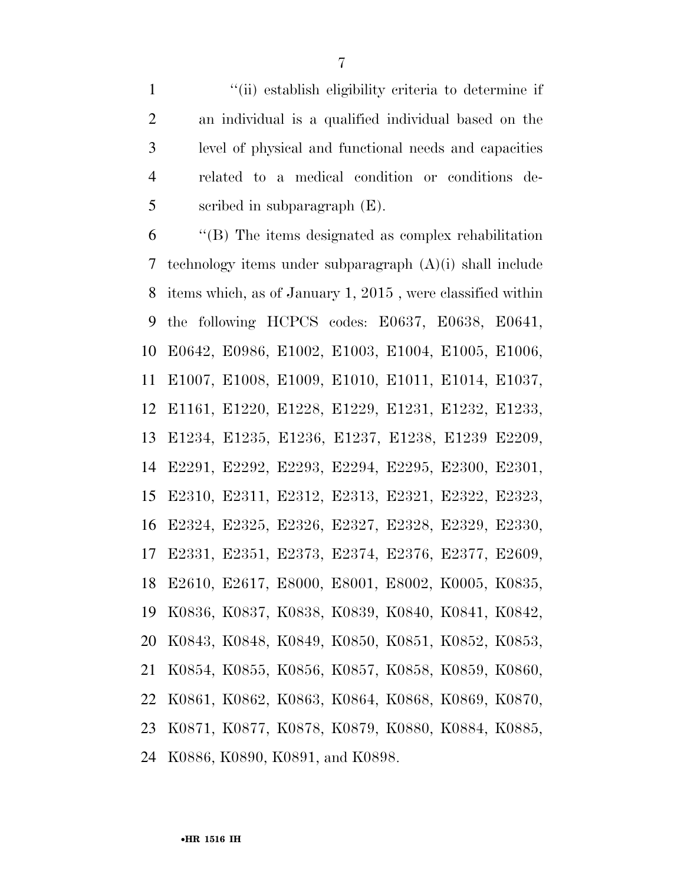''(ii) establish eligibility criteria to determine if an individual is a qualified individual based on the level of physical and functional needs and capacities related to a medical condition or conditions de-scribed in subparagraph (E).

 ''(B) The items designated as complex rehabilitation technology items under subparagraph (A)(i) shall include items which, as of January 1, 2015 , were classified within the following HCPCS codes: E0637, E0638, E0641, E0642, E0986, E1002, E1003, E1004, E1005, E1006, E1007, E1008, E1009, E1010, E1011, E1014, E1037, E1161, E1220, E1228, E1229, E1231, E1232, E1233, E1234, E1235, E1236, E1237, E1238, E1239 E2209, E2291, E2292, E2293, E2294, E2295, E2300, E2301, E2310, E2311, E2312, E2313, E2321, E2322, E2323, E2324, E2325, E2326, E2327, E2328, E2329, E2330, E2331, E2351, E2373, E2374, E2376, E2377, E2609, E2610, E2617, E8000, E8001, E8002, K0005, K0835, K0836, K0837, K0838, K0839, K0840, K0841, K0842, K0843, K0848, K0849, K0850, K0851, K0852, K0853, K0854, K0855, K0856, K0857, K0858, K0859, K0860, K0861, K0862, K0863, K0864, K0868, K0869, K0870, K0871, K0877, K0878, K0879, K0880, K0884, K0885, K0886, K0890, K0891, and K0898.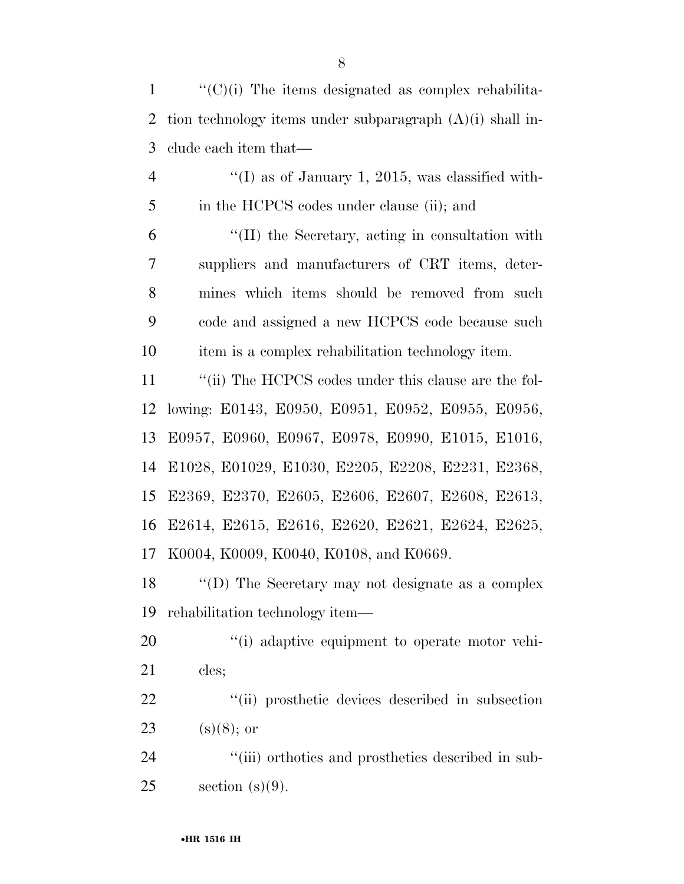''(C)(i) The items designated as complex rehabilita- tion technology items under subparagraph (A)(i) shall in-clude each item that—

 $\frac{4}{1}$  ''(I) as of January 1, 2015, was classified with-5 in the HCPCS codes under clause (ii); and ''(II) the Secretary, acting in consultation with suppliers and manufacturers of CRT items, deter- mines which items should be removed from such code and assigned a new HCPCS code because such item is a complex rehabilitation technology item.

11 ""(ii) The HCPCS codes under this clause are the fol- lowing: E0143, E0950, E0951, E0952, E0955, E0956, E0957, E0960, E0967, E0978, E0990, E1015, E1016, E1028, E01029, E1030, E2205, E2208, E2231, E2368, E2369, E2370, E2605, E2606, E2607, E2608, E2613, E2614, E2615, E2616, E2620, E2621, E2624, E2625, K0004, K0009, K0040, K0108, and K0669.

 ''(D) The Secretary may not designate as a complex rehabilitation technology item—

20  $\frac{1}{20}$  (i) adaptive equipment to operate motor vehi-cles;

22  $\frac{1}{2}$   $\frac{1}{2}$   $\frac{1}{2}$  ii) prosthetic devices described in subsection 23 (s)(8); or

24  $\frac{1}{2}$  (iii) orthotics and prosthetics described in sub-25 section  $(s)(9)$ .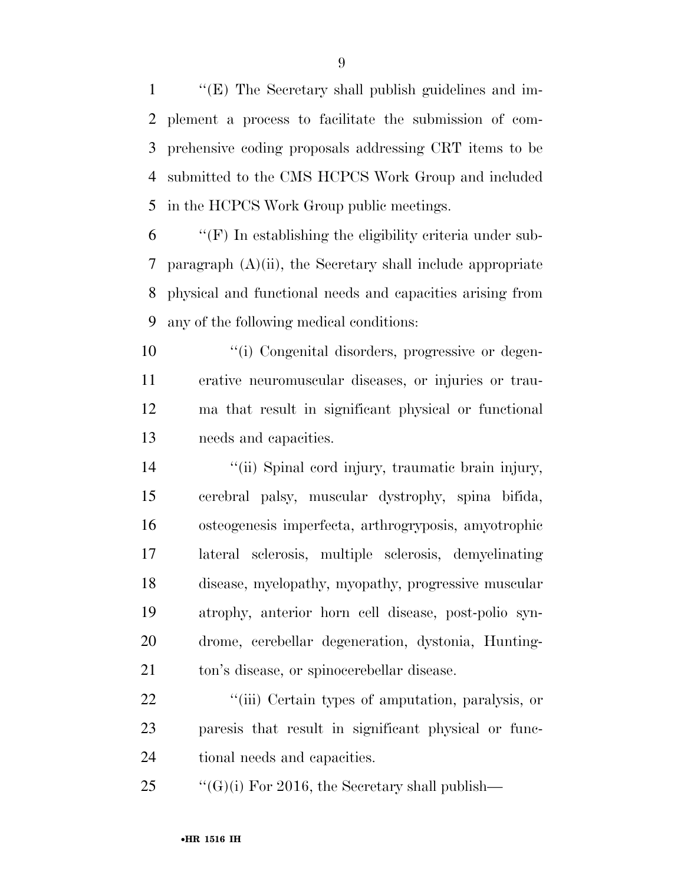''(E) The Secretary shall publish guidelines and im- plement a process to facilitate the submission of com- prehensive coding proposals addressing CRT items to be submitted to the CMS HCPCS Work Group and included in the HCPCS Work Group public meetings.

 ''(F) In establishing the eligibility criteria under sub- paragraph (A)(ii), the Secretary shall include appropriate physical and functional needs and capacities arising from any of the following medical conditions:

 ''(i) Congenital disorders, progressive or degen- erative neuromuscular diseases, or injuries or trau- ma that result in significant physical or functional needs and capacities.

 ''(ii) Spinal cord injury, traumatic brain injury, cerebral palsy, muscular dystrophy, spina bifida, osteogenesis imperfecta, arthrogryposis, amyotrophic lateral sclerosis, multiple sclerosis, demyelinating disease, myelopathy, myopathy, progressive muscular atrophy, anterior horn cell disease, post-polio syn- drome, cerebellar degeneration, dystonia, Hunting-ton's disease, or spinocerebellar disease.

22  $\frac{1}{2}$  (iii) Certain types of amputation, paralysis, or paresis that result in significant physical or func-tional needs and capacities.

25  $\text{``(G)(i) For 2016, the Secretary shall publish—}$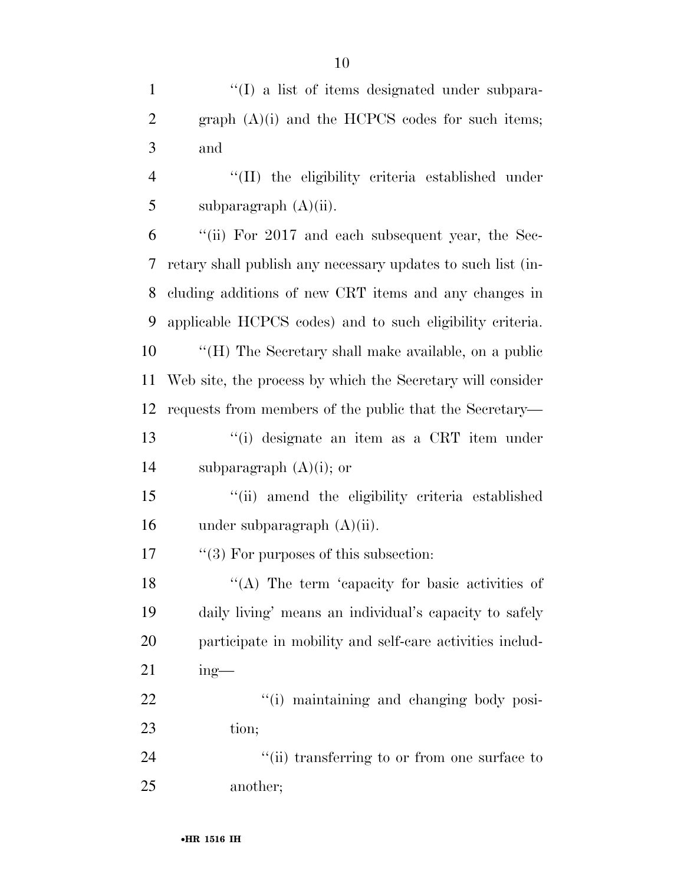1 ''(I) a list of items designated under subpara-

graph (A)(i) and the HCPCS codes for such items;

| 3              | and                                                          |
|----------------|--------------------------------------------------------------|
| $\overline{4}$ | "(II) the eligibility criteria established under             |
| 5              | subparagraph $(A)(ii)$ .                                     |
| 6              | "(ii) For $2017$ and each subsequent year, the Sec-          |
| 7              | retary shall publish any necessary updates to such list (in- |
| 8              | cluding additions of new CRT items and any changes in        |
| 9              | applicable HCPCS codes) and to such eligibility criteria.    |
| 10             | "(H) The Secretary shall make available, on a public         |
| 11             | Web site, the process by which the Secretary will consider   |
| 12             | requests from members of the public that the Secretary—      |
| 13             | "(i) designate an item as a CRT item under                   |
| 14             | subparagraph $(A)(i)$ ; or                                   |
| 15             | "(ii) amend the eligibility criteria established             |
| 16             | under subparagraph $(A)(ii)$ .                               |
| 17             | $\lq(3)$ For purposes of this subsection:                    |
| 18             | "(A) The term 'capacity for basic activities of              |
| 19             | daily living' means an individual's capacity to safely       |
| 20             | participate in mobility and self-care activities includ-     |
| 21             | $ing$ —                                                      |
| 22             | "(i) maintaining and changing body posi-                     |
| 23             | tion;                                                        |
| 24             | "(ii) transferring to or from one surface to                 |
| 25             | another;                                                     |
|                |                                                              |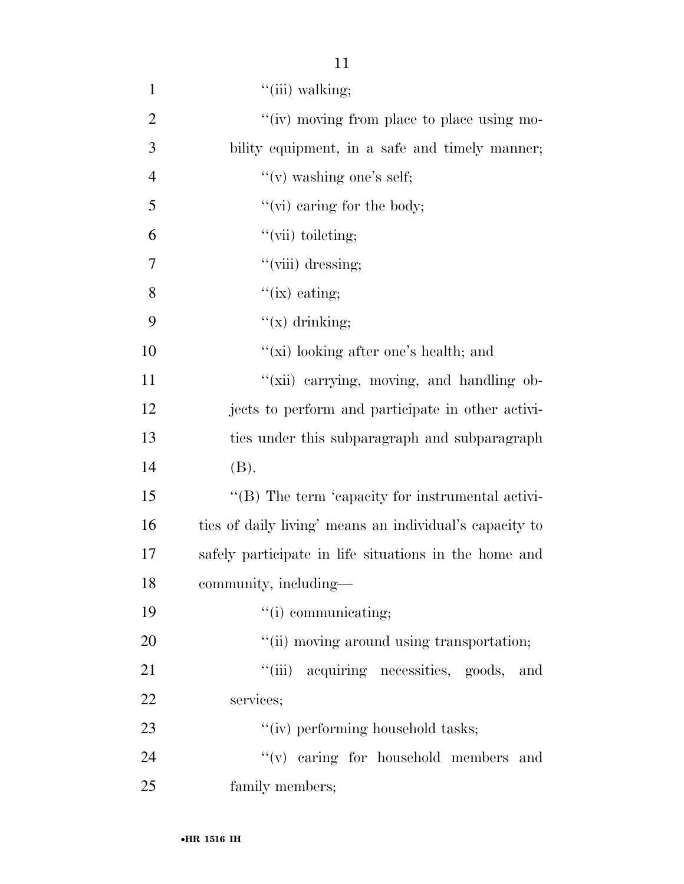| $\mathbf{1}$   | $"$ (iii) walking;                                      |
|----------------|---------------------------------------------------------|
| $\overline{2}$ | "(iv) moving from place to place using mo-              |
| 3              | bility equipment, in a safe and timely manner;          |
| $\overline{4}$ | "(v) washing one's self;                                |
| 5              | " $(vi)$ caring for the body;                           |
| 6              | "(vii) toileting;                                       |
| 7              | "(viii) dressing;                                       |
| 8              | $\lq\lq$ (ix) eating;                                   |
| 9              | " $(x)$ drinking;                                       |
| 10             | "(xi) looking after one's health; and                   |
| 11             | "(xii) carrying, moving, and handling ob-               |
| 12             | jects to perform and participate in other activi-       |
| 13             | ties under this subparagraph and subparagraph           |
| 14             | (B).                                                    |
| 15             | "(B) The term 'capacity for instrumental activi-        |
| 16             | ties of daily living' means an individual's capacity to |
| 17             | safely participate in life situations in the home and   |
| 18             | community, including-                                   |
| 19             | $``(i)$ communicating;                                  |
| 20             | "(ii) moving around using transportation;               |
| 21             | "(iii) acquiring necessities, goods,<br>and             |
| 22             | services;                                               |
| 23             | "(iv) performing household tasks;                       |
| 24             | "(v) caring for household members and                   |
| 25             | family members;                                         |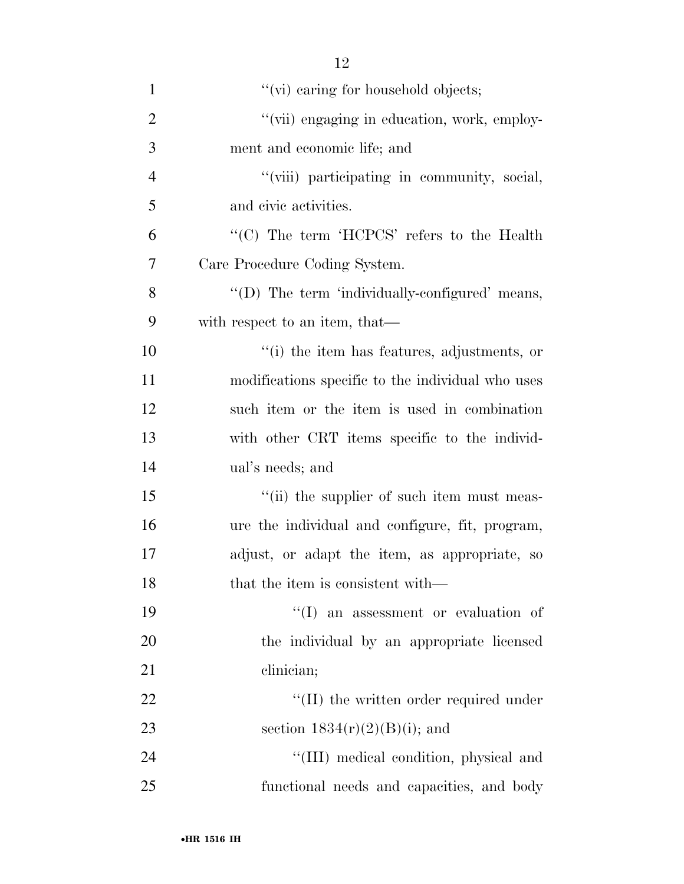| $\mathbf{1}$   | "(vi) caring for household objects;               |
|----------------|---------------------------------------------------|
| $\overline{2}$ | "(vii) engaging in education, work, employ-       |
| 3              | ment and economic life; and                       |
| $\overline{4}$ | "(viii) participating in community, social,       |
| $\mathfrak{S}$ | and civic activities.                             |
| 6              | "(C) The term 'HCPCS' refers to the Health        |
| 7              | Care Procedure Coding System.                     |
| 8              | "(D) The term 'individually-configured' means,    |
| 9              | with respect to an item, that—                    |
| 10             | "(i) the item has features, adjustments, or       |
| 11             | modifications specific to the individual who uses |
| 12             | such item or the item is used in combination      |
| 13             | with other CRT items specific to the individ-     |
| 14             | ual's needs; and                                  |
| 15             | "(ii) the supplier of such item must meas-        |
| 16             | ure the individual and configure, fit, program,   |
| 17             | adjust, or adapt the item, as appropriate, so     |
| 18             | that the item is consistent with—                 |
| 19             | $\lq\lq$ an assessment or evaluation of           |
| 20             | the individual by an appropriate licensed         |
| 21             | clinician;                                        |
| 22             | $\lq\lq$ (II) the written order required under    |
| 23             | section $1834(r)(2)(B)(i)$ ; and                  |
| 24             | "(III) medical condition, physical and            |
| 25             | functional needs and capacities, and body         |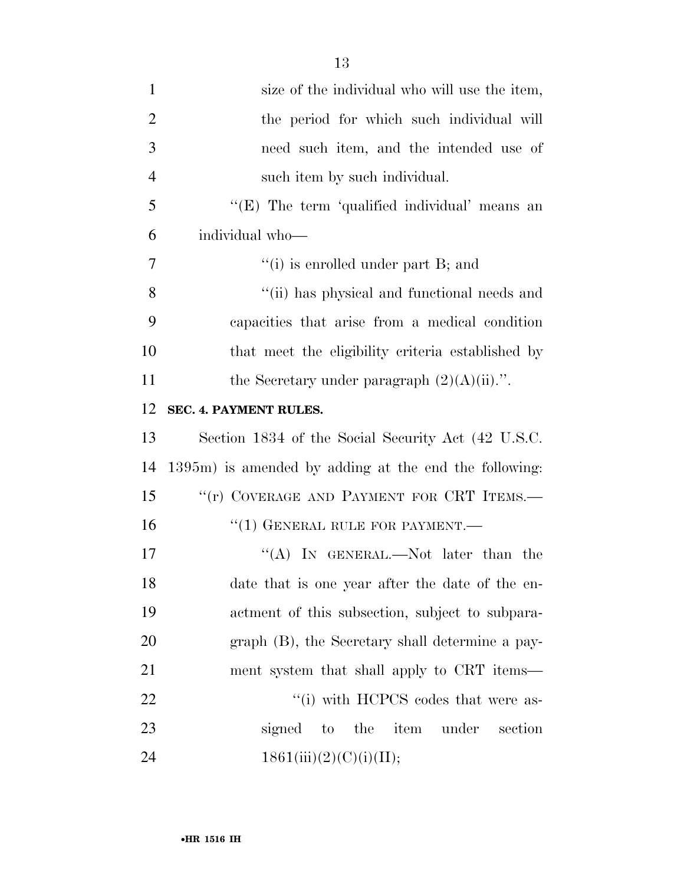| $\mathbf{1}$   | size of the individual who will use the item,         |
|----------------|-------------------------------------------------------|
| $\overline{2}$ | the period for which such individual will             |
| 3              | need such item, and the intended use of               |
| $\overline{4}$ | such item by such individual.                         |
| 5              | "(E) The term 'qualified individual' means an         |
| 6              | individual who-                                       |
| 7              | $``(i)$ is enrolled under part B; and                 |
| 8              | "(ii) has physical and functional needs and           |
| 9              | capacities that arise from a medical condition        |
| 10             | that meet the eligibility criteria established by     |
| 11             | the Secretary under paragraph $(2)(A)(ii)$ .".        |
| 12             | SEC. 4. PAYMENT RULES.                                |
| 13             | Section 1834 of the Social Security Act (42 U.S.C.    |
| 14             | 1395m) is amended by adding at the end the following: |
| 15             | "(r) COVERAGE AND PAYMENT FOR CRT ITEMS.-             |
| 16             | $``(1)$ GENERAL RULE FOR PAYMENT.—                    |
| 17             | "(A) IN GENERAL.—Not later than the                   |
| 18             | date that is one year after the date of the en-       |
| 19             | actment of this subsection, subject to subpara-       |
| 20             | graph (B), the Secretary shall determine a pay-       |
| 21             | ment system that shall apply to CRT items—            |
| 22             | "(i) with HCPCS codes that were as-                   |
| 23             | item<br>signed<br>to the<br>under<br>section          |
| 24             | 1861(iii)(2)(C)(i)(II);                               |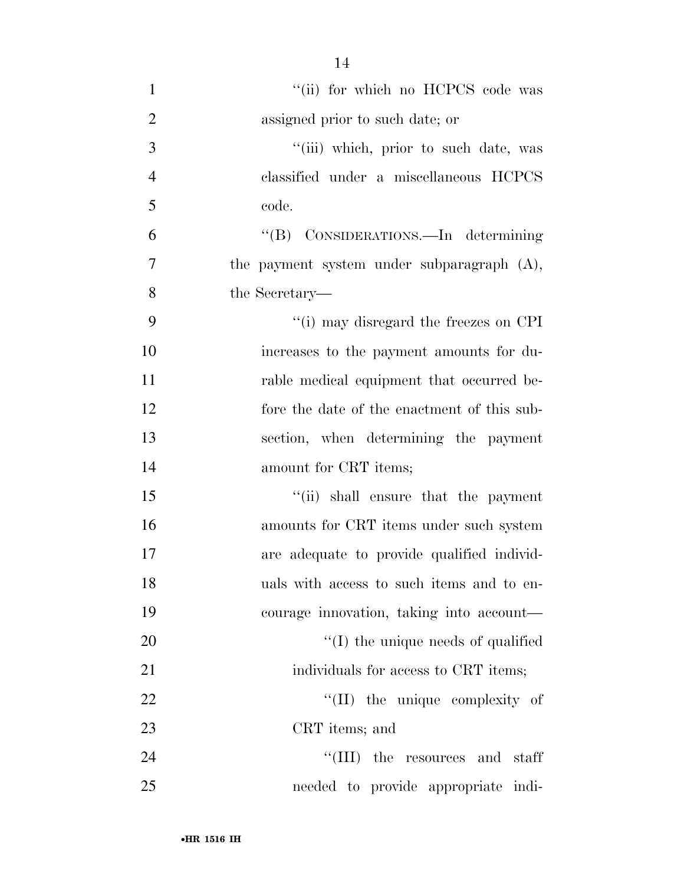| $\mathbf{1}$   | "(ii) for which no HCPCS code was           |
|----------------|---------------------------------------------|
| $\overline{2}$ | assigned prior to such date; or             |
| 3              | "(iii) which, prior to such date, was       |
| $\overline{4}$ | classified under a miscellaneous HCPCS      |
| 5              | code.                                       |
| 6              | "(B) CONSIDERATIONS.—In determining         |
| 7              | the payment system under subparagraph (A),  |
| 8              | the Secretary—                              |
| 9              | "(i) may disregard the freezes on CPI       |
| 10             | increases to the payment amounts for du-    |
| 11             | rable medical equipment that occurred be-   |
| 12             | fore the date of the enactment of this sub- |
| 13             | section, when determining the payment       |
| 14             | amount for CRT items;                       |
| 15             | "(ii) shall ensure that the payment         |
| 16             | amounts for CRT items under such system     |
| 17             | are adequate to provide qualified individ-  |
| 18             | uals with access to such items and to en-   |
| 19             | courage innovation, taking into account—    |
| 20             | $\lq\lq$ (I) the unique needs of qualified  |
| 21             | individuals for access to CRT items;        |
| 22             | "(II) the unique complexity of              |
| 23             | CRT items; and                              |
| 24             | "(III) the resources and staff              |
| 25             | needed to provide appropriate indi-         |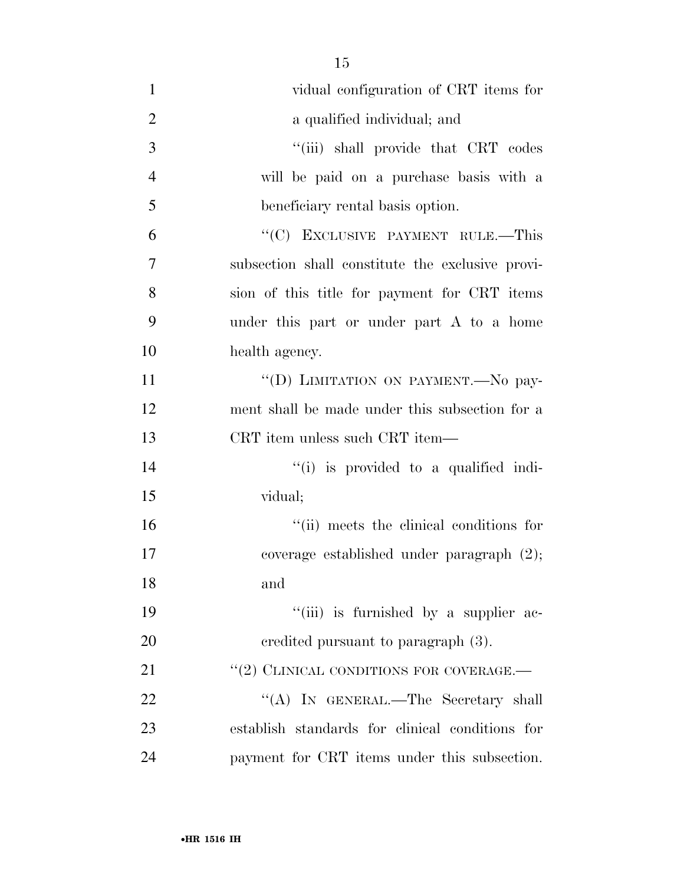| $\mathbf{1}$   | vidual configuration of CRT items for                  |
|----------------|--------------------------------------------------------|
| $\overline{2}$ | a qualified individual; and                            |
| 3              | "(iii) shall provide that CRT codes                    |
| $\overline{4}$ | will be paid on a purchase basis with a                |
| 5              | beneficiary rental basis option.                       |
| 6              | "(C) EXCLUSIVE PAYMENT RULE.—This                      |
| $\overline{7}$ | subsection shall constitute the exclusive provi-       |
| 8              | sion of this title for payment for CRT items           |
| 9              | under this part or under part A to a home              |
| 10             | health agency.                                         |
| 11             | "(D) LIMITATION ON PAYMENT. No pay-                    |
| 12             | ment shall be made under this subsection for a         |
| 13             | CRT item unless such CRT item—                         |
| 14             | $\lq$ <sup>"(i)</sup> is provided to a qualified indi- |
| 15             | vidual;                                                |
| 16             | "(ii) meets the clinical conditions for                |
| 17             | coverage established under paragraph $(2)$ ;           |
| 18             | and                                                    |
| 19             | "(iii) is furnished by a supplier ac-                  |
| 20             | eredited pursuant to paragraph (3).                    |
| 21             | "(2) CLINICAL CONDITIONS FOR COVERAGE.-                |
| 22             | "(A) IN GENERAL.—The Secretary shall                   |
| 23             | establish standards for clinical conditions for        |
| 24             | payment for CRT items under this subsection.           |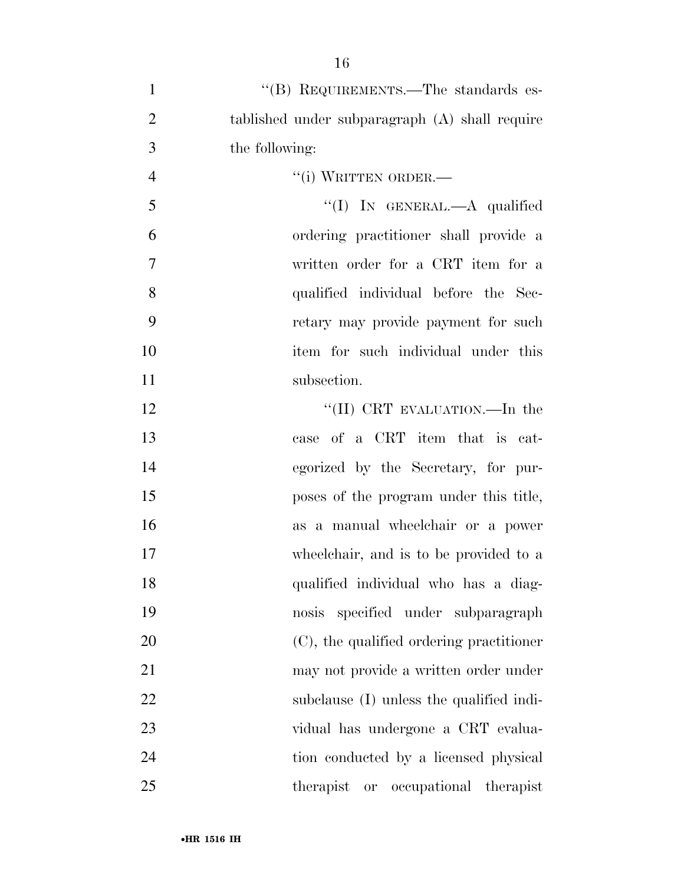| $\mathbf{1}$   | "(B) REQUIREMENTS.—The standards es-           |
|----------------|------------------------------------------------|
| $\overline{2}$ | tablished under subparagraph (A) shall require |
| 3              | the following:                                 |
| $\overline{4}$ | "(i) WRITTEN ORDER.—                           |
| 5              | "(I) IN GENERAL.—A qualified                   |
| 6              | ordering practitioner shall provide a          |
| 7              | written order for a CRT item for a             |
| 8              | qualified individual before the Sec-           |
| 9              | retary may provide payment for such            |
| 10             | item for such individual under this            |
| 11             | subsection.                                    |
| 12             | "(II) CRT EVALUATION.—In the                   |
| 13             | case of a CRT item that is cat-                |
| 14             | egorized by the Secretary, for pur-            |
| 15             | poses of the program under this title,         |
| 16             | as a manual wheelchair or a power              |
| 17             | wheelchair, and is to be provided to a         |
| 18             | qualified individual who has a diag-           |
| 19             | nosis specified under subparagraph             |
| 20             | (C), the qualified ordering practitioner       |
| 21             | may not provide a written order under          |
| 22             | subclause (I) unless the qualified indi-       |
| 23             | vidual has undergone a CRT evalua-             |
| 24             | tion conducted by a licensed physical          |
| 25             | therapist<br>occupational therapist<br>or      |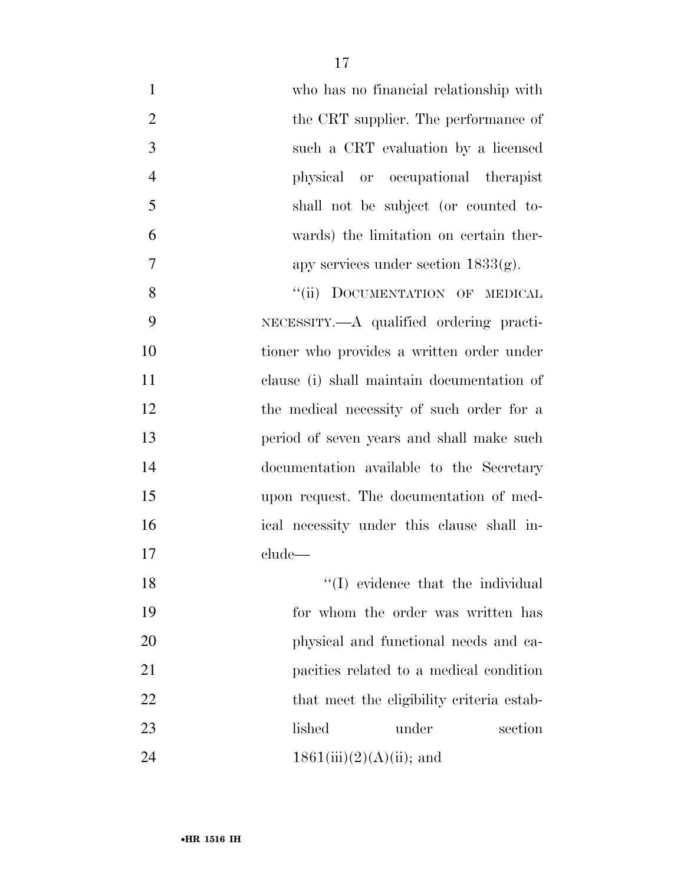| $\mathbf{1}$   | who has no financial relationship with     |
|----------------|--------------------------------------------|
| $\overline{2}$ | the CRT supplier. The performance of       |
| 3              | such a CRT evaluation by a licensed        |
| $\overline{4}$ | physical or occupational therapist         |
| 5              | shall not be subject (or counted to-       |
| 6              | wards) the limitation on certain ther-     |
| 7              | apy services under section $1833(g)$ .     |
| 8              | "(ii) DOCUMENTATION OF MEDICAL             |
| 9              | NECESSITY.—A qualified ordering practi-    |
| 10             | tioner who provides a written order under  |
| 11             | clause (i) shall maintain documentation of |
| 12             | the medical necessity of such order for a  |
| 13             | period of seven years and shall make such  |
| 14             | documentation available to the Secretary   |
| 15             | upon request. The documentation of med-    |
| 16             | ical necessity under this clause shall in- |
| 17             | clude                                      |
| 18             | $\lq\lq$ (I) evidence that the individual  |
| 19             | for whom the order was written has         |
| 20             | physical and functional needs and ca-      |
| 21             | pacities related to a medical condition    |
| 22             | that meet the eligibility criteria estab-  |
| 23             | lished<br>section<br>under                 |
| 24             | $1861(iii)(2)(A)(ii)$ ; and                |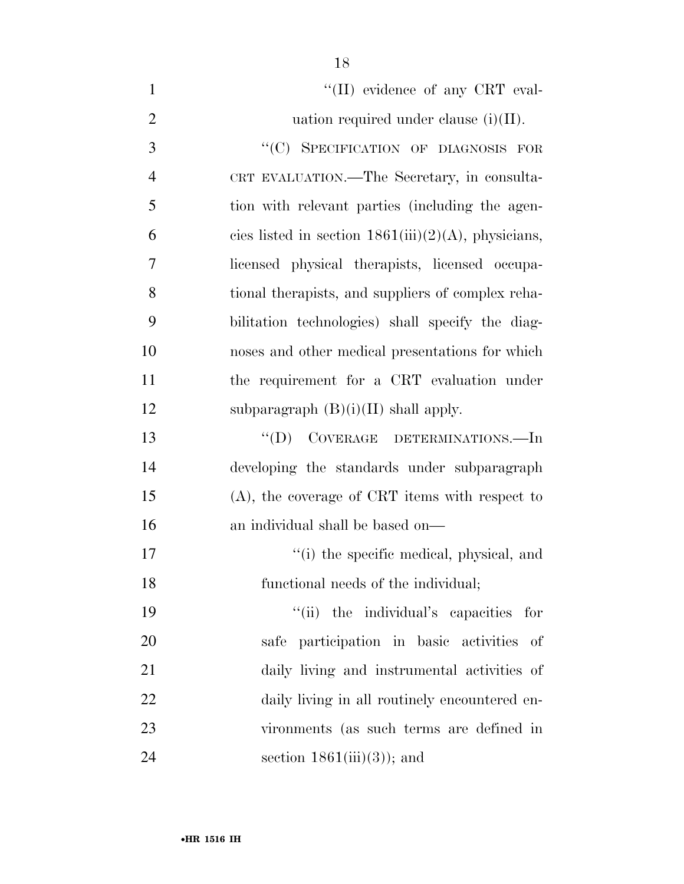| $\mathbf{1}$   | "(II) evidence of any CRT eval-                        |
|----------------|--------------------------------------------------------|
| $\overline{2}$ | uation required under clause $(i)(II)$ .               |
| 3              | "(C) SPECIFICATION OF DIAGNOSIS FOR                    |
| $\overline{4}$ | CRT EVALUATION.—The Secretary, in consulta-            |
| 5              | tion with relevant parties (including the agen-        |
| 6              | cies listed in section $1861(iii)(2)(A)$ , physicians, |
| $\overline{7}$ | licensed physical therapists, licensed occupa-         |
| 8              | tional therapists, and suppliers of complex reha-      |
| 9              | bilitation technologies) shall specify the diag-       |
| 10             | noses and other medical presentations for which        |
| 11             | the requirement for a CRT evaluation under             |
| 12             | subparagraph $(B)(i)(II)$ shall apply.                 |
| 13             | $\lq\lq$ (D) COVERAGE DETERMINATIONS.—In               |
| 14             | developing the standards under subparagraph            |
| 15             | $(A)$ , the coverage of CRT items with respect to      |
| 16             | an individual shall be based on—                       |
| 17             | "(i) the specific medical, physical, and               |
| 18             | functional needs of the individual;                    |
| 19             | "(ii) the individual's capacities for                  |
| 20             | safe participation in basic activities of              |
| 21             | daily living and instrumental activities of            |
| 22             | daily living in all routinely encountered en-          |
| 23             | vironments (as such terms are defined in               |

24 section 1861(iii)(3)); and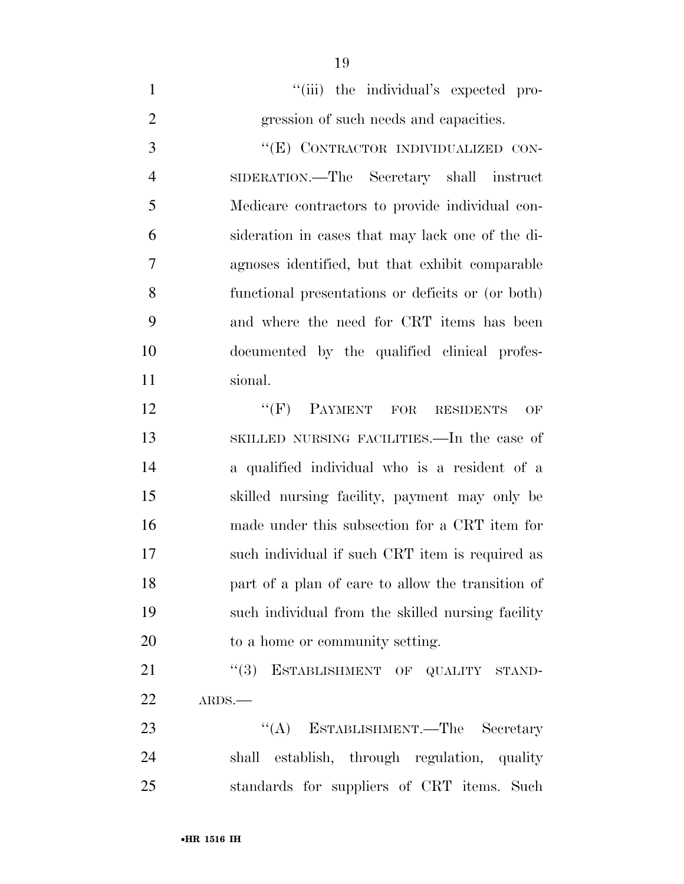1  $"$ (iii) the individual's expected pro-gression of such needs and capacities.

3 "(E) CONTRACTOR INDIVIDUALIZED CON- SIDERATION.—The Secretary shall instruct Medicare contractors to provide individual con- sideration in cases that may lack one of the di- agnoses identified, but that exhibit comparable functional presentations or deficits or (or both) and where the need for CRT items has been documented by the qualified clinical profes-sional.

12 " (F) PAYMENT FOR RESIDENTS OF SKILLED NURSING FACILITIES.—In the case of a qualified individual who is a resident of a skilled nursing facility, payment may only be made under this subsection for a CRT item for such individual if such CRT item is required as part of a plan of care to allow the transition of such individual from the skilled nursing facility to a home or community setting.

21 "(3) ESTABLISHMENT OF QUALITY STAND-ARDS.—

23 "(A) ESTABLISHMENT.—The Secretary shall establish, through regulation, quality standards for suppliers of CRT items. Such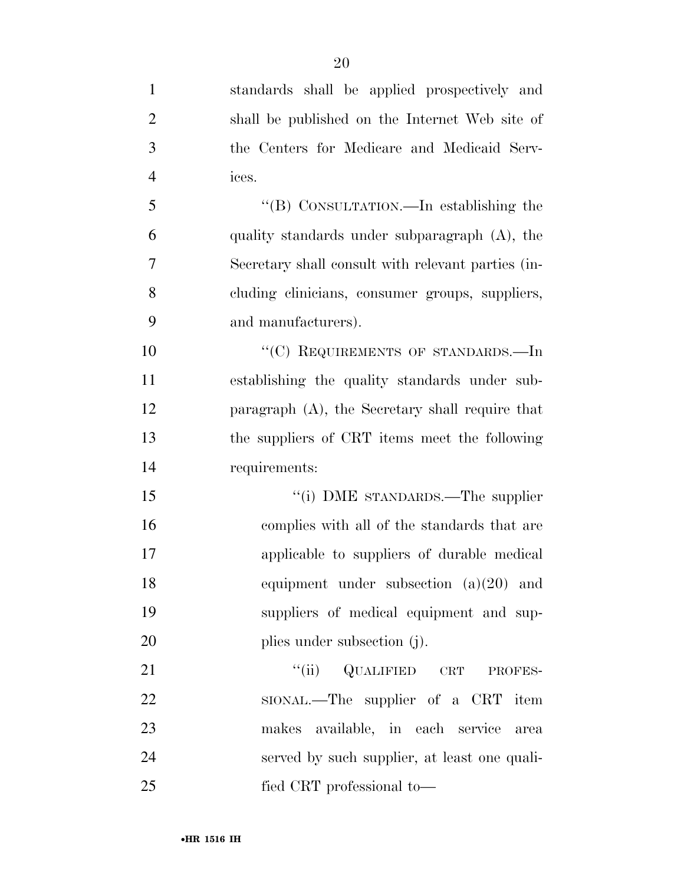standards shall be applied prospectively and shall be published on the Internet Web site of the Centers for Medicare and Medicaid Serv- ices. ''(B) CONSULTATION.—In establishing the quality standards under subparagraph (A), the Secretary shall consult with relevant parties (in- cluding clinicians, consumer groups, suppliers, and manufacturers). 10 "'(C) REQUIREMENTS OF STANDARDS.—In establishing the quality standards under sub- paragraph (A), the Secretary shall require that the suppliers of CRT items meet the following requirements: 15 "(i) DME STANDARDS.—The supplier complies with all of the standards that are applicable to suppliers of durable medical equipment under subsection (a)(20) and suppliers of medical equipment and sup-20 plies under subsection (j). 21 "(ii) QUALIFIED CRT PROFES-22 SIONAL.—The supplier of a CRT item makes available, in each service area served by such supplier, at least one quali-

fied CRT professional to—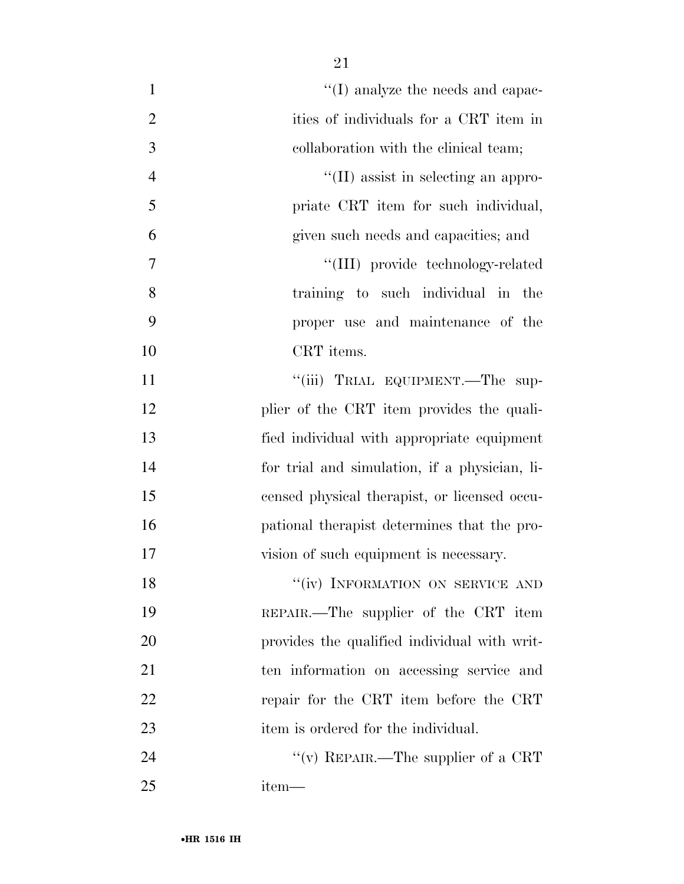| $\mathbf{1}$   | $\lq\lq$ (I) analyze the needs and capac-     |
|----------------|-----------------------------------------------|
| $\overline{2}$ | ities of individuals for a CRT item in        |
| 3              | collaboration with the clinical team;         |
| $\overline{4}$ | $\lq\lq$ (II) assist in selecting an appro-   |
| 5              | priate CRT item for such individual,          |
| 6              | given such needs and capacities; and          |
| 7              | "(III) provide technology-related             |
| 8              | training to such individual in the            |
| 9              | proper use and maintenance of the             |
| 10             | CRT items.                                    |
| 11             | "(iii) TRIAL EQUIPMENT.—The sup-              |
| 12             | plier of the CRT item provides the quali-     |
| 13             | fied individual with appropriate equipment    |
| 14             | for trial and simulation, if a physician, li- |
| 15             | censed physical therapist, or licensed occu-  |
| 16             | pational therapist determines that the pro-   |
| 17             | vision of such equipment is necessary.        |
| 18             | "(iv) INFORMATION ON SERVICE AND              |
| 19             | REPAIR.—The supplier of the CRT item          |
| 20             | provides the qualified individual with writ-  |
| 21             | ten information on accessing service and      |
| 22             | repair for the CRT item before the CRT        |
| 23             | item is ordered for the individual.           |
| 24             | "(v) REPAIR.—The supplier of a CRT            |
| 25             | item—                                         |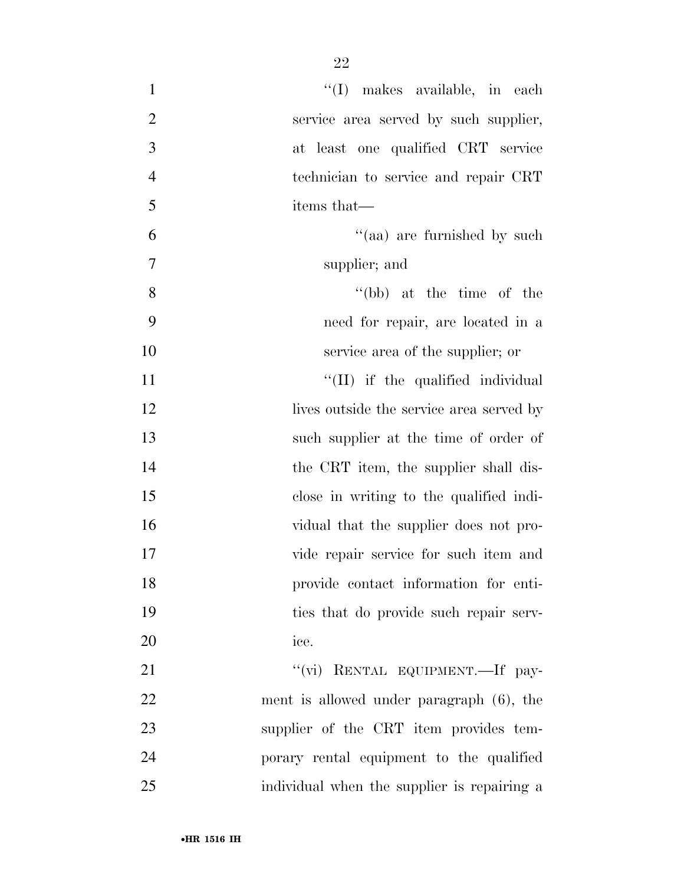| $\mathbf{1}$   | $\lq\lq$ (I) makes available, in each       |
|----------------|---------------------------------------------|
| $\mathbf{2}$   | service area served by such supplier,       |
| 3              | at least one qualified CRT service          |
| $\overline{4}$ | technician to service and repair CRT        |
| 5              | items that—                                 |
| 6              | "(aa) are furnished by such                 |
| 7              | supplier; and                               |
| 8              | $``(bb)$ at the time of the                 |
| 9              | need for repair, are located in a           |
| 10             | service area of the supplier; or            |
| 11             | "(II) if the qualified individual           |
| 12             | lives outside the service area served by    |
| 13             | such supplier at the time of order of       |
| 14             | the CRT item, the supplier shall dis-       |
| 15             | close in writing to the qualified indi-     |
| 16             | vidual that the supplier does not pro-      |
| 17             | vide repair service for such item and       |
| 18             | provide contact information for enti-       |
| 19             | ties that do provide such repair serv-      |
| 20             | ice.                                        |
| 21             | "(vi) RENTAL EQUIPMENT.—If pay-             |
| 22             | ment is allowed under paragraph (6), the    |
| 23             | supplier of the CRT item provides tem-      |
| 24             | porary rental equipment to the qualified    |
| 25             | individual when the supplier is repairing a |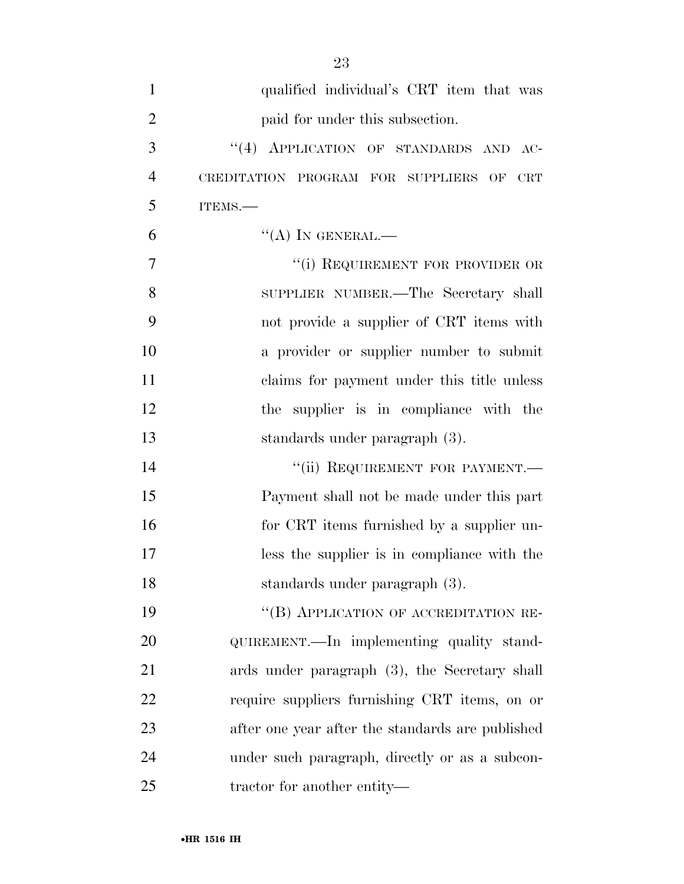| $\mathbf{1}$   | qualified individual's CRT item that was         |
|----------------|--------------------------------------------------|
| $\overline{2}$ | paid for under this subsection.                  |
| 3              | "(4) APPLICATION OF STANDARDS AND AC-            |
| $\overline{4}$ | CREDITATION PROGRAM FOR SUPPLIERS OF CRT         |
| 5              | ITEMS.-                                          |
| 6              | $``(A)$ IN GENERAL.—                             |
| $\overline{7}$ | "(i) REQUIREMENT FOR PROVIDER OR                 |
| 8              | SUPPLIER NUMBER.—The Secretary shall             |
| 9              | not provide a supplier of CRT items with         |
| 10             | a provider or supplier number to submit          |
| 11             | claims for payment under this title unless       |
| 12             | the supplier is in compliance with the           |
| 13             | standards under paragraph (3).                   |
| 14             | "(ii) REQUIREMENT FOR PAYMENT.-                  |
| 15             | Payment shall not be made under this part        |
| 16             | for CRT items furnished by a supplier un-        |
| 17             | less the supplier is in compliance with the      |
| 18             | standards under paragraph (3).                   |
| 19             | "(B) APPLICATION OF ACCREDITATION RE-            |
| 20             | QUIREMENT.—In implementing quality stand-        |
| 21             | ards under paragraph (3), the Secretary shall    |
| 22             | require suppliers furnishing CRT items, on or    |
| 23             | after one year after the standards are published |
| 24             | under such paragraph, directly or as a subcon-   |
| 25             | tractor for another entity—                      |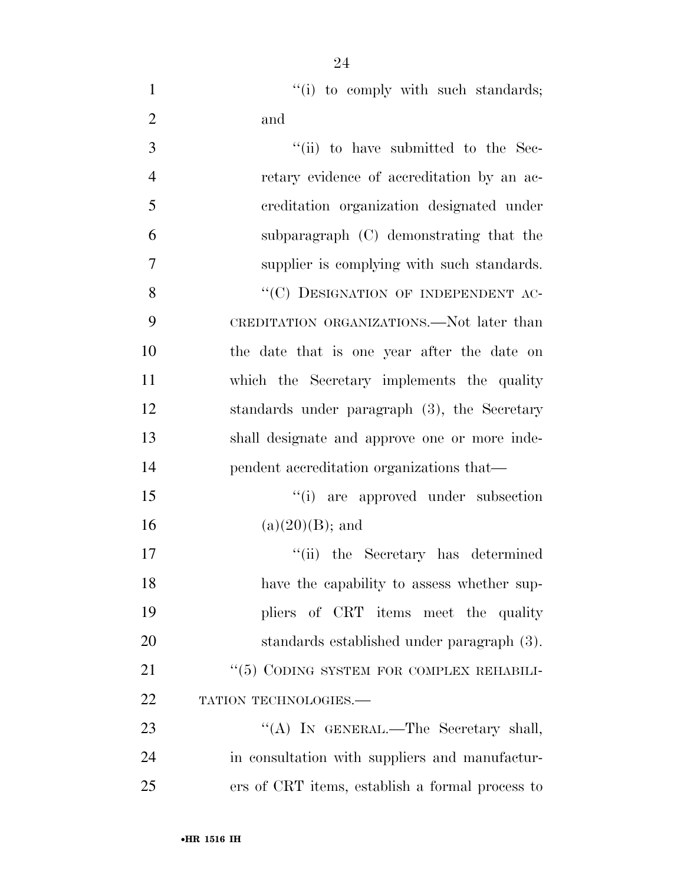1 ''(i) to comply with such standards; and

| 3              | "(ii) to have submitted to the Sec-             |
|----------------|-------------------------------------------------|
| $\overline{4}$ | retary evidence of accreditation by an ac-      |
| 5              | creditation organization designated under       |
| 6              | subparagraph (C) demonstrating that the         |
| $\overline{7}$ | supplier is complying with such standards.      |
| 8              | "(C) DESIGNATION OF INDEPENDENT AC-             |
| 9              | CREDITATION ORGANIZATIONS.—Not later than       |
| 10             | the date that is one year after the date on     |
| 11             | which the Secretary implements the quality      |
| 12             | standards under paragraph (3), the Secretary    |
| 13             | shall designate and approve one or more inde-   |
| 14             | pendent accreditation organizations that—       |
| 15             | "(i) are approved under subsection              |
| 16             | $(a)(20)(B)$ ; and                              |
| 17             | "(ii) the Secretary has determined              |
| 18             | have the capability to assess whether sup-      |
| 19             | pliers of CRT items meet the quality            |
| 20             | standards established under paragraph (3).      |
| 21             | $``(5)$ CODING SYSTEM FOR COMPLEX REHABILI-     |
| 22             | TATION TECHNOLOGIES.                            |
| 23             | "(A) IN GENERAL.—The Secretary shall,           |
| 24             | in consultation with suppliers and manufactur-  |
| 25             | ers of CRT items, establish a formal process to |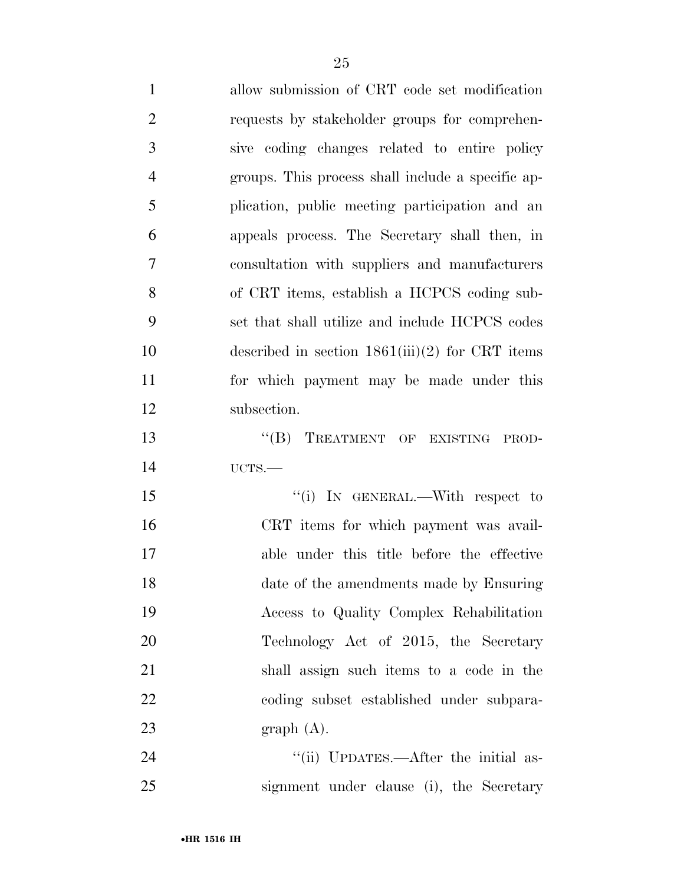| 1              | allow submission of CRT code set modification     |
|----------------|---------------------------------------------------|
| $\overline{2}$ | requests by stakeholder groups for comprehen-     |
| 3              | sive coding changes related to entire policy      |
| $\overline{4}$ | groups. This process shall include a specific ap- |
| 5              | plication, public meeting participation and an    |
| 6              | appeals process. The Secretary shall then, in     |
| $\overline{7}$ | consultation with suppliers and manufacturers     |
| 8              | of CRT items, establish a HCPCS coding sub-       |
| 9              | set that shall utilize and include HCPCS codes    |
| 10             | described in section $1861(iii)(2)$ for CRT items |
| 11             | for which payment may be made under this          |
| 12             | subsection.                                       |
| 13             | "(B) TREATMENT OF EXISTING PROD-                  |
| 14             | UCTS.                                             |
| 15             | "(i) IN GENERAL.—With respect to                  |
| 16             | CRT items for which payment was avail-            |
| 17             | able under this title before the effective        |
| 18             | date of the amendments made by Ensuring           |
| 19             | Access to Quality Complex Rehabilitation          |
| 20             | Technology Act of 2015, the Secretary             |
| 21             | shall assign such items to a code in the          |
| 22             | coding subset established under subpara-          |
| 23             | graph(A).                                         |
| 24             | "(ii) UPDATES.—After the initial as-              |

signment under clause (i), the Secretary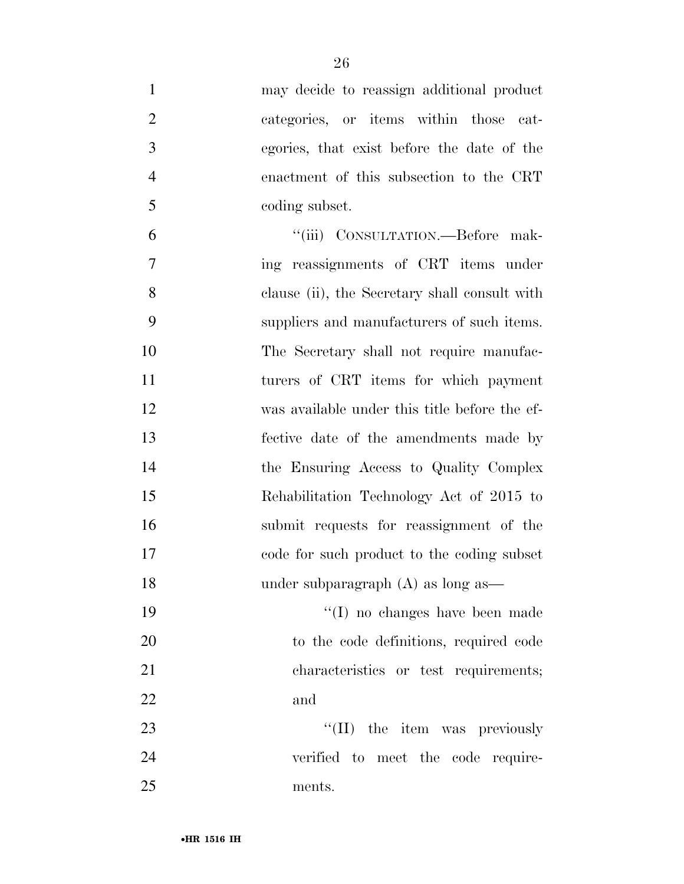| $\mathbf{1}$   | may decide to reassign additional product     |
|----------------|-----------------------------------------------|
| $\overline{2}$ | categories, or items within those cat-        |
| 3              | egories, that exist before the date of the    |
| $\overline{4}$ | enactment of this subsection to the CRT       |
| 5              | coding subset.                                |
| 6              | "(iii) CONSULTATION.—Before mak-              |
| 7              | ing reassignments of CRT items under          |
| 8              | clause (ii), the Secretary shall consult with |
| 9              | suppliers and manufacturers of such items.    |
| 10             | The Secretary shall not require manufac-      |
| 11             | turers of CRT items for which payment         |
| 12             | was available under this title before the ef- |
| 13             | fective date of the amendments made by        |
| 14             | the Ensuring Access to Quality Complex        |
| 15             | Rehabilitation Technology Act of 2015 to      |
| 16             | submit requests for reassignment of the       |
| 17             | code for such product to the coding subset    |
| 18             | under subparagraph $(A)$ as long as—          |
| 19             | $\lq\lq$ (I) no changes have been made        |
| 20             | to the code definitions, required code        |
| 21             | characteristics or test requirements;         |
| 22             | and                                           |
| 23             | "(II) the item was previously                 |
| 24             | verified to meet the code require-            |
| 25             | ments.                                        |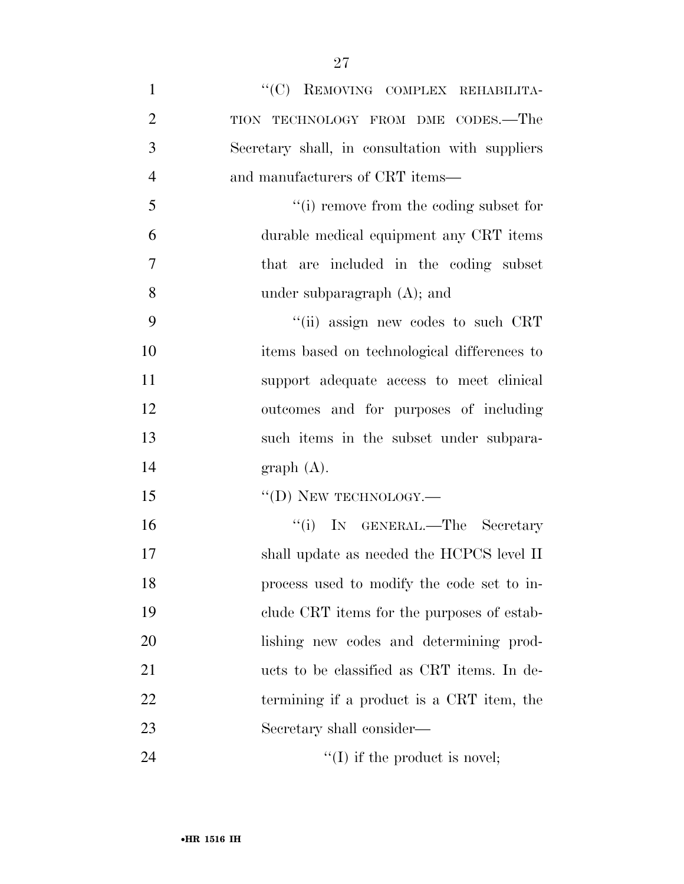| $\mathbf{1}$   | "(C) REMOVING COMPLEX REHABILITA-               |
|----------------|-------------------------------------------------|
| $\overline{2}$ | TION TECHNOLOGY FROM DME CODES.-The             |
| 3              | Secretary shall, in consultation with suppliers |
| $\overline{4}$ | and manufacturers of CRT items—                 |
| 5              | "(i) remove from the coding subset for          |
| 6              | durable medical equipment any CRT items         |
| 7              | that are included in the coding subset          |
| 8              | under subparagraph $(A)$ ; and                  |
| 9              | "(ii) assign new codes to such CRT              |
| 10             | items based on technological differences to     |
| 11             | support adequate access to meet clinical        |
| 12             | outcomes and for purposes of including          |
| 13             | such items in the subset under subpara-         |
| 14             | graph(A).                                       |
| 15             | $\lq\lq$ (D) NEW TECHNOLOGY.—                   |
| 16             | "(i) IN GENERAL.—The Secretary                  |
| 17             | shall update as needed the HCPCS level II       |
| 18             | process used to modify the code set to in-      |
| 19             | clude CRT items for the purposes of estab-      |
| 20             | lishing new codes and determining prod-         |
| 21             | ucts to be classified as CRT items. In de-      |
| 22             | termining if a product is a CRT item, the       |
| 23             | Secretary shall consider—                       |
| 24             | $\lq\lq$ if the product is novel;               |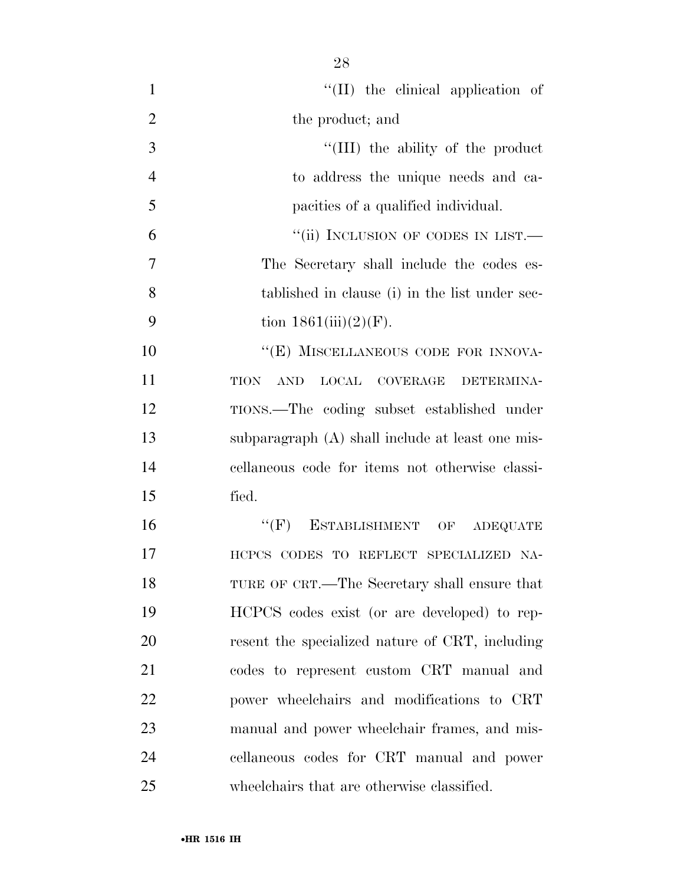| $\mathbf{1}$   | $\lq\lq$ (II) the clinical application of                                  |
|----------------|----------------------------------------------------------------------------|
| $\overline{2}$ | the product; and                                                           |
| 3              | "(III) the ability of the product                                          |
| $\overline{4}$ | to address the unique needs and ca-                                        |
| 5              | pacities of a qualified individual.                                        |
| 6              | "(ii) INCLUSION OF CODES IN LIST.—                                         |
| 7              | The Secretary shall include the codes es-                                  |
| 8              | tablished in clause (i) in the list under sec-                             |
| 9              | tion $1861(iii)(2)(F)$ .                                                   |
| 10             | "(E) MISCELLANEOUS CODE FOR INNOVA-                                        |
| 11             | $\operatorname{AND}$<br><b>LOCAL</b><br><b>TION</b><br>COVERAGE DETERMINA- |
| 12             | TIONS.—The coding subset established under                                 |
| 13             | subparagraph (A) shall include at least one mis-                           |
| 14             | cellaneous code for items not otherwise classi-                            |
| 15             | fied.                                                                      |
| 16             | $``(F)$ ESTABLISHMENT OF<br><b>ADEQUATE</b>                                |
| 17             | HCPCS CODES TO REFLECT SPECIALIZED NA-                                     |
| 18             | TURE OF CRT.—The Secretary shall ensure that                               |
| 19             | HCPCS codes exist (or are developed) to rep-                               |
| 20             | resent the specialized nature of CRT, including                            |
| 21             | codes to represent custom CRT manual and                                   |
| 22             | power wheelchairs and modifications to CRT                                 |
| 23             | manual and power wheelchair frames, and mis-                               |
| 24             | cellaneous codes for CRT manual and power                                  |
| 25             | wheelchairs that are otherwise classified.                                 |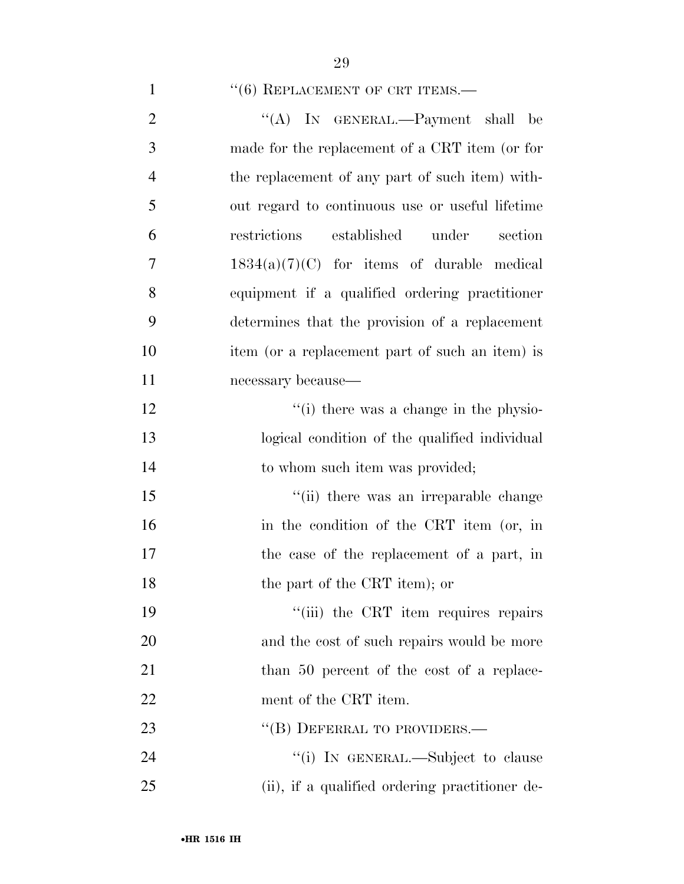$(6)$  REPLACEMENT OF CRT ITEMS.—

| $\mathfrak{2}$ | "(A) IN GENERAL.—Payment shall be               |
|----------------|-------------------------------------------------|
| 3              | made for the replacement of a CRT item (or for  |
| $\overline{4}$ | the replacement of any part of such item) with- |
| 5              | out regard to continuous use or useful lifetime |
| 6              | restrictions<br>established under<br>section    |
| 7              | $1834(a)(7)(C)$ for items of durable medical    |
| 8              | equipment if a qualified ordering practitioner  |
| 9              | determines that the provision of a replacement  |
| 10             | item (or a replacement part of such an item) is |
| 11             | necessary because—                              |
| 12             | "(i) there was a change in the physio-          |
| 13             | logical condition of the qualified individual   |
| 14             | to whom such item was provided;                 |
| 15             | "(ii) there was an irreparable change           |
| 16             | in the condition of the CRT item (or, in        |
| 17             | the case of the replacement of a part, in       |
| 18             | the part of the CRT item); or                   |
| 19             | "(iii) the CRT item requires repairs            |
| 20             | and the cost of such repairs would be more      |
| 21             | than 50 percent of the cost of a replace-       |
| 22             | ment of the CRT item.                           |
| 23             | "(B) DEFERRAL TO PROVIDERS.—                    |
|                |                                                 |
| 24             | "(i) IN GENERAL.—Subject to clause              |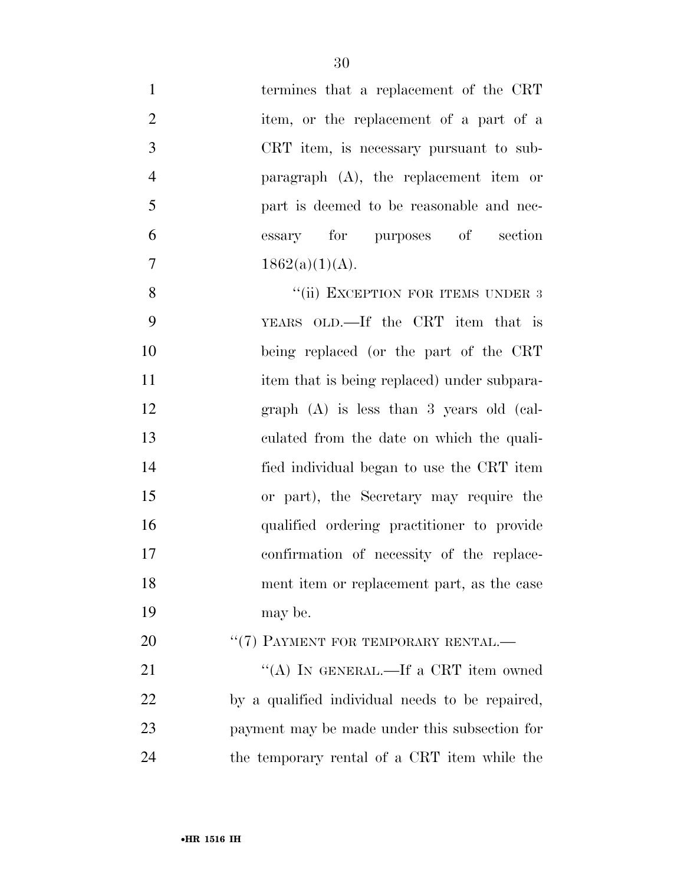| $\mathbf{1}$   | termines that a replacement of the CRT          |
|----------------|-------------------------------------------------|
| $\overline{2}$ | item, or the replacement of a part of a         |
| 3              | CRT item, is necessary pursuant to sub-         |
| $\overline{4}$ | paragraph (A), the replacement item or          |
| 5              | part is deemed to be reasonable and nec-        |
| 6              | essary for purposes of section                  |
| 7              | $1862(a)(1)(A)$ .                               |
| 8              | "(ii) EXCEPTION FOR ITEMS UNDER 3               |
| 9              | YEARS OLD.—If the CRT item that is              |
| 10             | being replaced (or the part of the CRT          |
| 11             | item that is being replaced) under subpara-     |
| 12             | graph $(A)$ is less than 3 years old (cal-      |
| 13             | culated from the date on which the quali-       |
| 14             | fied individual began to use the CRT item       |
| 15             | or part), the Secretary may require the         |
| 16             | qualified ordering practitioner to provide      |
| 17             | confirmation of necessity of the replace-       |
| 18             | ment item or replacement part, as the case      |
| 19             | may be.                                         |
| 20             | " $(7)$ PAYMENT FOR TEMPORARY RENTAL.—          |
| 21             | "(A) IN GENERAL.—If a CRT item owned            |
| 22             | by a qualified individual needs to be repaired, |
| 23             | payment may be made under this subsection for   |
| 24             | the temporary rental of a CRT item while the    |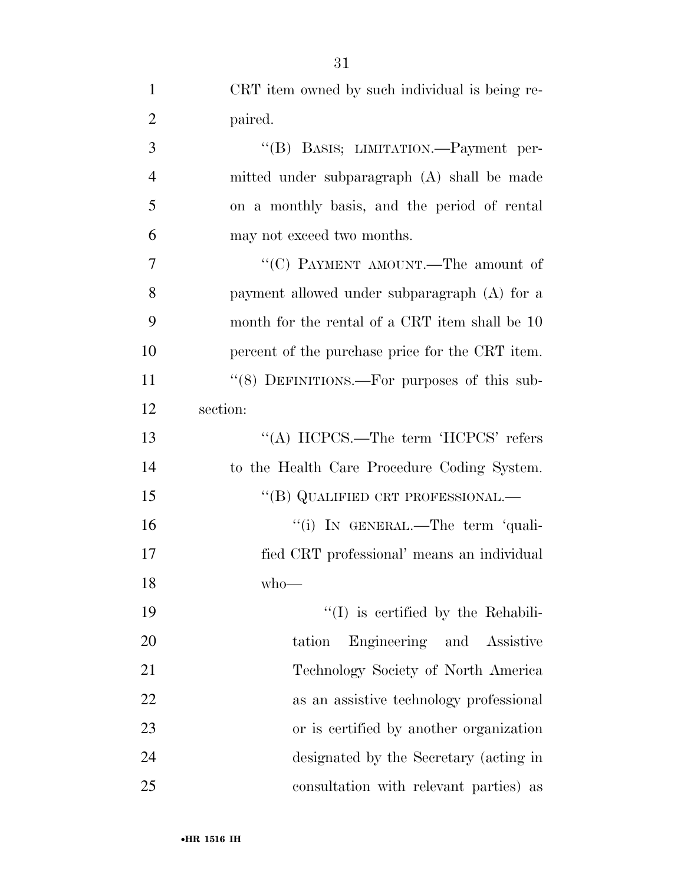| $\mathbf{1}$   | CRT item owned by such individual is being re-  |
|----------------|-------------------------------------------------|
| $\overline{2}$ | paired.                                         |
| 3              | "(B) BASIS; LIMITATION.—Payment per-            |
| 4              | mitted under subparagraph (A) shall be made     |
| 5              | on a monthly basis, and the period of rental    |
| 6              | may not exceed two months.                      |
| 7              | "(C) PAYMENT AMOUNT.—The amount of              |
| 8              | payment allowed under subparagraph (A) for a    |
| 9              | month for the rental of a CRT item shall be 10  |
| 10             | percent of the purchase price for the CRT item. |
| 11             | "(8) DEFINITIONS.—For purposes of this sub-     |
| 12             | section:                                        |
| 13             | "(A) HCPCS.—The term 'HCPCS' refers             |
| 14             | to the Health Care Procedure Coding System.     |
| 15             | "(B) QUALIFIED CRT PROFESSIONAL.—               |
| 16             | "(i) IN GENERAL.—The term 'quali-               |
| 17             | fied CRT professional' means an individual      |
| 18             | $who$ —                                         |
| 19             | $\lq\lq$ (I) is certified by the Rehabili-      |
| 20             | Engineering and Assistive<br>tation             |
| 21             | Technology Society of North America             |
| 22             | as an assistive technology professional         |
| 23             | or is certified by another organization         |
| 24             | designated by the Secretary (acting in          |
| 25             | consultation with relevant parties) as          |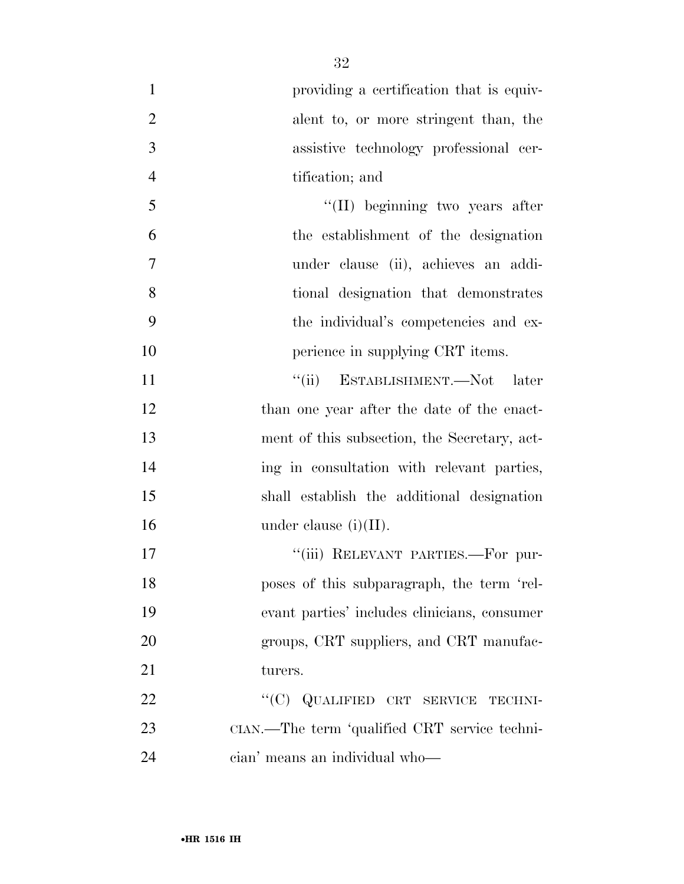| $\mathbf{1}$   | providing a certification that is equiv-      |
|----------------|-----------------------------------------------|
| $\overline{2}$ | alent to, or more stringent than, the         |
| 3              | assistive technology professional cer-        |
| $\overline{4}$ | tification; and                               |
| 5              | "(II) beginning two years after               |
| 6              | the establishment of the designation          |
| $\tau$         | under clause (ii), achieves an addi-          |
| 8              | tional designation that demonstrates          |
| 9              | the individual's competencies and ex-         |
| 10             | perience in supplying CRT items.              |
| 11             | "(ii) ESTABLISHMENT.—Not later                |
| 12             | than one year after the date of the enact-    |
| 13             | ment of this subsection, the Secretary, act-  |
| 14             | ing in consultation with relevant parties,    |
| 15             | shall establish the additional designation    |
| 16             | under clause $(i)(II)$ .                      |
| 17             | "(iii) RELEVANT PARTIES.-For pur-             |
| 18             | poses of this subparagraph, the term 'rel-    |
| 19             | evant parties' includes clinicians, consumer  |
| 20             | groups, CRT suppliers, and CRT manufac-       |
| 21             | turers.                                       |
| 22             | "(C) QUALIFIED CRT SERVICE<br>TECHNI-         |
| 23             | CIAN.—The term 'qualified CRT service techni- |
| 24             | cian' means an individual who-                |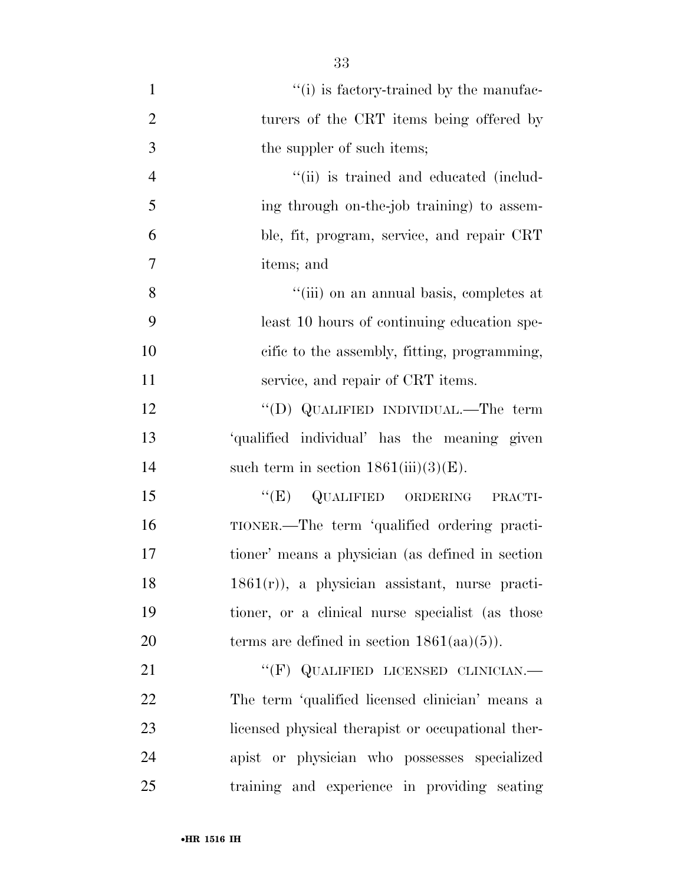| $\mathbf{1}$   | "(i) is factory-trained by the manufac-           |
|----------------|---------------------------------------------------|
| $\overline{2}$ | turers of the CRT items being offered by          |
| 3              | the suppler of such items;                        |
| $\overline{4}$ | "(ii) is trained and educated (includ-            |
| 5              | ing through on-the-job training to assem-         |
| 6              | ble, fit, program, service, and repair CRT        |
| 7              | items; and                                        |
| 8              | "(iii) on an annual basis, completes at           |
| 9              | least 10 hours of continuing education spe-       |
| 10             | cific to the assembly, fitting, programming,      |
| 11             | service, and repair of CRT items.                 |
| 12             | "(D) QUALIFIED INDIVIDUAL.—The term               |
| 13             | 'qualified individual' has the meaning given      |
| 14             | such term in section $1861(iii)(3)(E)$ .          |
| 15             | "(E) QUALIFIED ORDERING PRACTI-                   |
| 16             | TIONER.—The term 'qualified ordering practi-      |
| 17             | tioner' means a physician (as defined in section  |
| 18             | $1861(r)$ , a physician assistant, nurse practi-  |
| 19             | tioner, or a clinical nurse specialist (as those  |
| 20             | terms are defined in section $1861(aa)(5)$ ).     |
| 21             | "(F) QUALIFIED LICENSED CLINICIAN.-               |
| 22             | The term 'qualified licensed clinician' means a   |
| 23             | licensed physical therapist or occupational ther- |
| 24             | apist or physician who possesses specialized      |
| 25             | training and experience in providing seating      |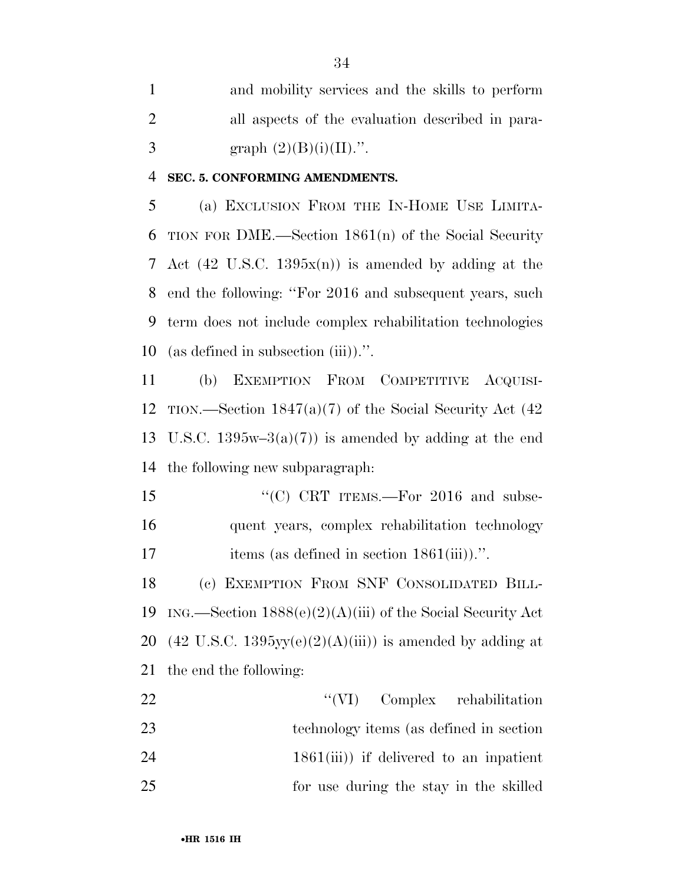and mobility services and the skills to perform all aspects of the evaluation described in para-3 graph  $(2)(B)(i)(II)$ .".

### **SEC. 5. CONFORMING AMENDMENTS.**

 (a) EXCLUSION FROM THE IN-HOME USE LIMITA- TION FOR DME.—Section 1861(n) of the Social Security Act (42 U.S.C. 1395x(n)) is amended by adding at the end the following: ''For 2016 and subsequent years, such term does not include complex rehabilitation technologies (as defined in subsection (iii)).''.

 (b) EXEMPTION FROM COMPETITIVE ACQUISI- TION.—Section 1847(a)(7) of the Social Security Act (42 13 U.S.C. 1395w–3(a)(7)) is amended by adding at the end the following new subparagraph:

15 "'(C) CRT ITEMS.—For 2016 and subse- quent years, complex rehabilitation technology 17 items (as defined in section 1861(iii)).".

 (c) EXEMPTION FROM SNF CONSOLIDATED BILL-19 ING.—Section  $1888(e)(2)(A)(iii)$  of the Social Security Act 20 (42 U.S.C. 1395 $yy(e)(2)(A)(iii)$ ) is amended by adding at the end the following:

22 ''(VI) Complex rehabilitation technology items (as defined in section 24 1861(iii) if delivered to an inpatient for use during the stay in the skilled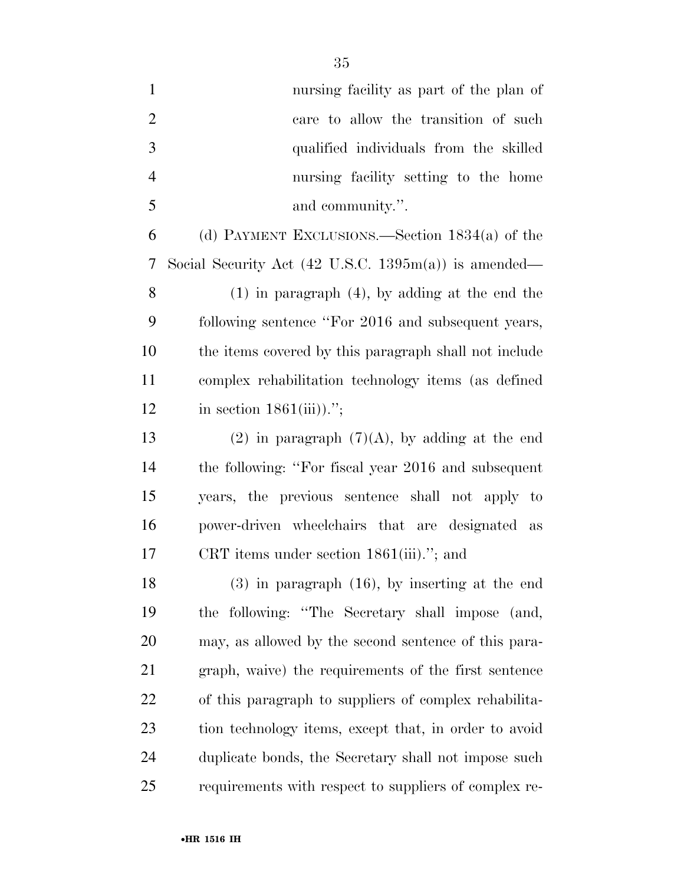| $\mathbf{1}$   | nursing facility as part of the plan of                                 |
|----------------|-------------------------------------------------------------------------|
| $\overline{2}$ | care to allow the transition of such                                    |
| 3              | qualified individuals from the skilled                                  |
| $\overline{4}$ | nursing facility setting to the home                                    |
| 5              | and community.".                                                        |
| 6              | (d) PAYMENT EXCLUSIONS.—Section $1834(a)$ of the                        |
| 7              | Social Security Act $(42 \text{ U.S.C. } 1395 \text{m(a)})$ is amended— |
| 8              | $(1)$ in paragraph $(4)$ , by adding at the end the                     |
| 9              | following sentence "For 2016 and subsequent years,                      |
| 10             | the items covered by this paragraph shall not include                   |
| 11             | complex rehabilitation technology items (as defined                     |
| 12             | in section $1861(iii)$ .";                                              |
| 13             | $(2)$ in paragraph $(7)(A)$ , by adding at the end                      |
| 14             | the following: "For fiscal year 2016 and subsequent                     |
| 15             | years, the previous sentence shall not apply to                         |
| 16             | power-driven wheelchairs that are designated as                         |
| 17             | CRT items under section $1861(iii)$ ."; and                             |
| 18             | $(3)$ in paragraph $(16)$ , by inserting at the end                     |
| 19             | the following: "The Secretary shall impose (and,                        |
| 20             | may, as allowed by the second sentence of this para-                    |
| 21             | graph, waive) the requirements of the first sentence                    |
| 22             | of this paragraph to suppliers of complex rehabilita-                   |
| 23             | tion technology items, except that, in order to avoid                   |
| 24             | duplicate bonds, the Secretary shall not impose such                    |
| 25             | requirements with respect to suppliers of complex re-                   |